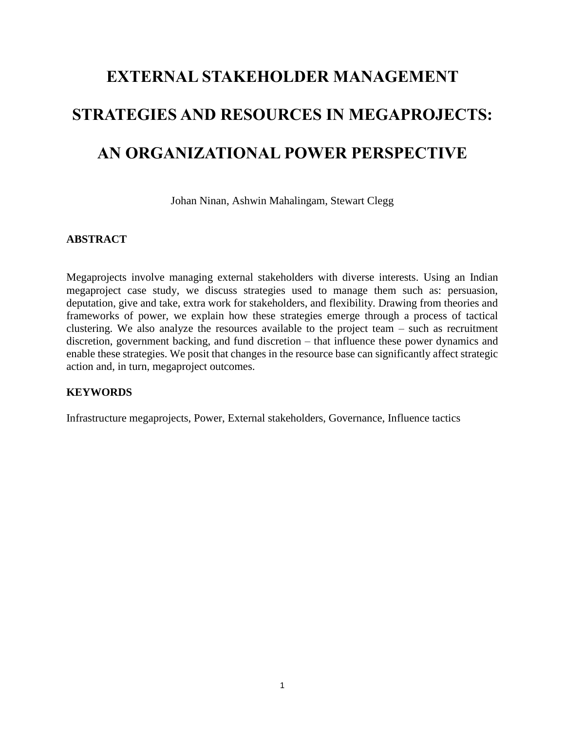# **EXTERNAL STAKEHOLDER MANAGEMENT STRATEGIES AND RESOURCES IN MEGAPROJECTS: AN ORGANIZATIONAL POWER PERSPECTIVE**

Johan Ninan, Ashwin Mahalingam, Stewart Clegg

## **ABSTRACT**

Megaprojects involve managing external stakeholders with diverse interests. Using an Indian megaproject case study, we discuss strategies used to manage them such as: persuasion, deputation, give and take, extra work for stakeholders, and flexibility. Drawing from theories and frameworks of power, we explain how these strategies emerge through a process of tactical clustering. We also analyze the resources available to the project team – such as recruitment discretion, government backing, and fund discretion – that influence these power dynamics and enable these strategies. We posit that changes in the resource base can significantly affect strategic action and, in turn, megaproject outcomes.

# **KEYWORDS**

Infrastructure megaprojects, Power, External stakeholders, Governance, Influence tactics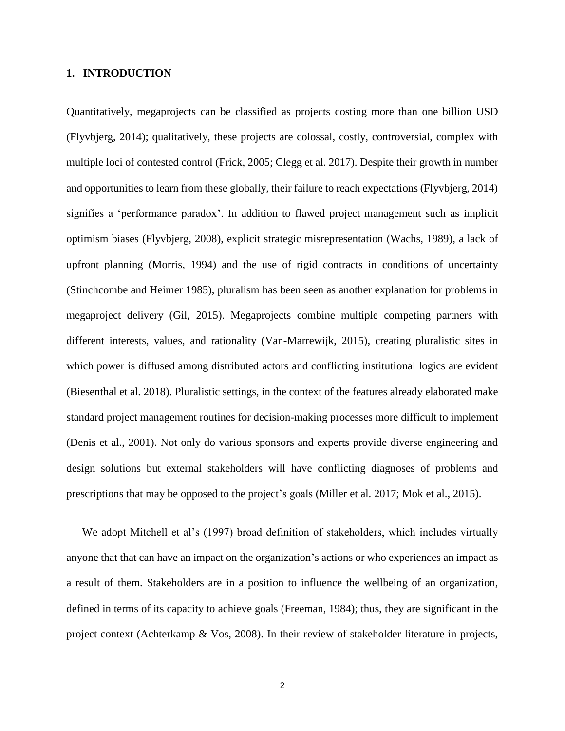## **1. INTRODUCTION**

Quantitatively, megaprojects can be classified as projects costing more than one billion USD (Flyvbjerg, 2014); qualitatively, these projects are colossal, costly, controversial, complex with multiple loci of contested control (Frick, 2005; Clegg et al. 2017). Despite their growth in number and opportunities to learn from these globally, their failure to reach expectations (Flyvbjerg, 2014) signifies a 'performance paradox'. In addition to flawed project management such as implicit optimism biases (Flyvbjerg, 2008), explicit strategic misrepresentation (Wachs, 1989), a lack of upfront planning (Morris, 1994) and the use of rigid contracts in conditions of uncertainty (Stinchcombe and Heimer 1985), pluralism has been seen as another explanation for problems in megaproject delivery (Gil, 2015). Megaprojects combine multiple competing partners with different interests, values, and rationality (Van-Marrewijk, 2015), creating pluralistic sites in which power is diffused among distributed actors and conflicting institutional logics are evident (Biesenthal et al. 2018). Pluralistic settings, in the context of the features already elaborated make standard project management routines for decision-making processes more difficult to implement (Denis et al., 2001). Not only do various sponsors and experts provide diverse engineering and design solutions but external stakeholders will have conflicting diagnoses of problems and prescriptions that may be opposed to the project's goals (Miller et al. 2017; Mok et al., 2015).

We adopt Mitchell et al's (1997) broad definition of stakeholders, which includes virtually anyone that that can have an impact on the organization's actions or who experiences an impact as a result of them. Stakeholders are in a position to influence the wellbeing of an organization, defined in terms of its capacity to achieve goals (Freeman, 1984); thus, they are significant in the project context (Achterkamp & Vos, 2008). In their review of stakeholder literature in projects,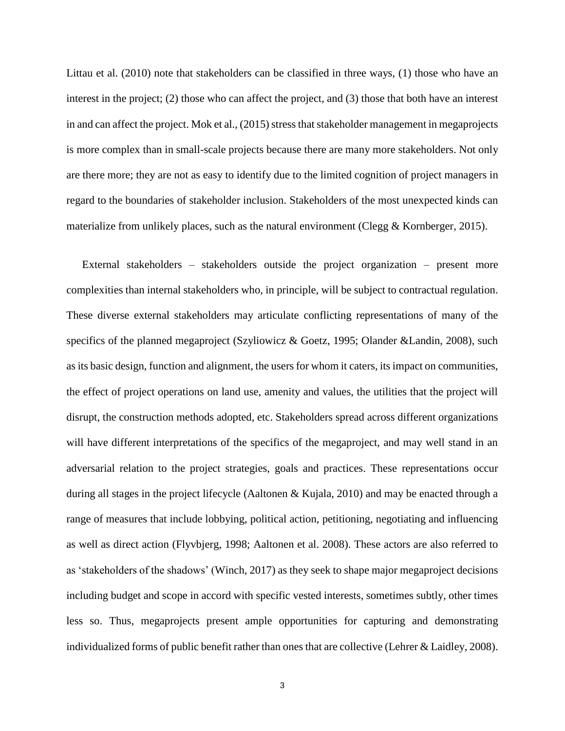Littau et al. (2010) note that stakeholders can be classified in three ways, (1) those who have an interest in the project; (2) those who can affect the project, and (3) those that both have an interest in and can affect the project. Mok et al., (2015) stress that stakeholder management in megaprojects is more complex than in small-scale projects because there are many more stakeholders. Not only are there more; they are not as easy to identify due to the limited cognition of project managers in regard to the boundaries of stakeholder inclusion. Stakeholders of the most unexpected kinds can materialize from unlikely places, such as the natural environment (Clegg  $&$  Kornberger, 2015).

External stakeholders – stakeholders outside the project organization – present more complexities than internal stakeholders who, in principle, will be subject to contractual regulation. These diverse external stakeholders may articulate conflicting representations of many of the specifics of the planned megaproject (Szyliowicz & Goetz, 1995; Olander &Landin, 2008), such as its basic design, function and alignment, the users for whom it caters, its impact on communities, the effect of project operations on land use, amenity and values, the utilities that the project will disrupt, the construction methods adopted, etc. Stakeholders spread across different organizations will have different interpretations of the specifics of the megaproject, and may well stand in an adversarial relation to the project strategies, goals and practices. These representations occur during all stages in the project lifecycle (Aaltonen & Kujala, 2010) and may be enacted through a range of measures that include lobbying, political action, petitioning, negotiating and influencing as well as direct action (Flyvbjerg, 1998; Aaltonen et al. 2008). These actors are also referred to as 'stakeholders of the shadows' (Winch, 2017) as they seek to shape major megaproject decisions including budget and scope in accord with specific vested interests, sometimes subtly, other times less so. Thus, megaprojects present ample opportunities for capturing and demonstrating individualized forms of public benefit rather than ones that are collective (Lehrer & Laidley, 2008).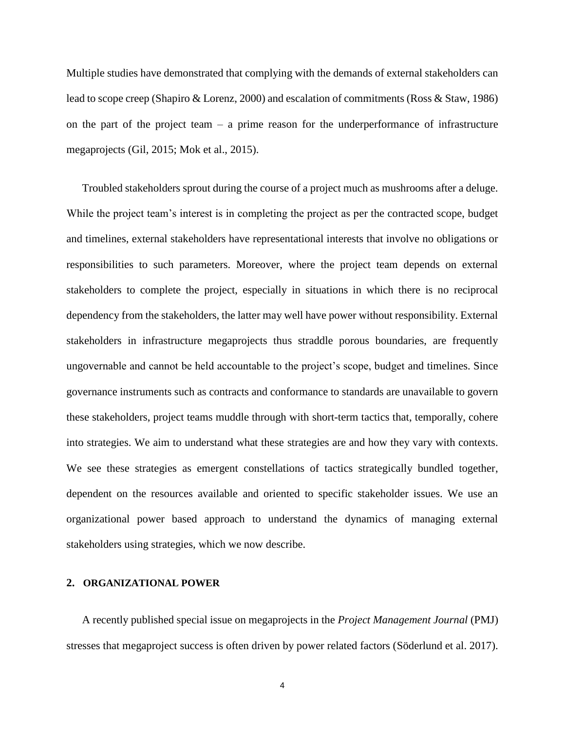Multiple studies have demonstrated that complying with the demands of external stakeholders can lead to scope creep (Shapiro & Lorenz, 2000) and escalation of commitments (Ross & Staw, 1986) on the part of the project team  $-$  a prime reason for the underperformance of infrastructure megaprojects (Gil, 2015; Mok et al., 2015).

Troubled stakeholders sprout during the course of a project much as mushrooms after a deluge. While the project team's interest is in completing the project as per the contracted scope, budget and timelines, external stakeholders have representational interests that involve no obligations or responsibilities to such parameters. Moreover, where the project team depends on external stakeholders to complete the project, especially in situations in which there is no reciprocal dependency from the stakeholders, the latter may well have power without responsibility. External stakeholders in infrastructure megaprojects thus straddle porous boundaries, are frequently ungovernable and cannot be held accountable to the project's scope, budget and timelines. Since governance instruments such as contracts and conformance to standards are unavailable to govern these stakeholders, project teams muddle through with short-term tactics that, temporally, cohere into strategies. We aim to understand what these strategies are and how they vary with contexts. We see these strategies as emergent constellations of tactics strategically bundled together, dependent on the resources available and oriented to specific stakeholder issues. We use an organizational power based approach to understand the dynamics of managing external stakeholders using strategies, which we now describe.

#### **2. ORGANIZATIONAL POWER**

A recently published special issue on megaprojects in the *Project Management Journal* (PMJ) stresses that megaproject success is often driven by power related factors (Söderlund et al. 2017).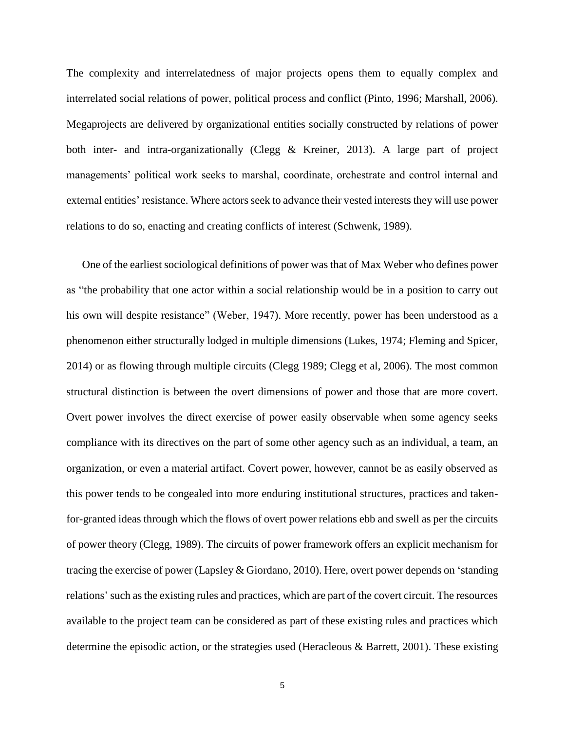The complexity and interrelatedness of major projects opens them to equally complex and interrelated social relations of power, political process and conflict (Pinto, 1996; Marshall, 2006). Megaprojects are delivered by organizational entities socially constructed by relations of power both inter- and intra-organizationally (Clegg & Kreiner, 2013). A large part of project managements' political work seeks to marshal, coordinate, orchestrate and control internal and external entities' resistance. Where actors seek to advance their vested interests they will use power relations to do so, enacting and creating conflicts of interest (Schwenk, 1989).

One of the earliest sociological definitions of power was that of Max Weber who defines power as "the probability that one actor within a social relationship would be in a position to carry out his own will despite resistance" (Weber, 1947). More recently, power has been understood as a phenomenon either structurally lodged in multiple dimensions (Lukes, 1974; Fleming and Spicer, 2014) or as flowing through multiple circuits (Clegg 1989; Clegg et al, 2006). The most common structural distinction is between the overt dimensions of power and those that are more covert. Overt power involves the direct exercise of power easily observable when some agency seeks compliance with its directives on the part of some other agency such as an individual, a team, an organization, or even a material artifact. Covert power, however, cannot be as easily observed as this power tends to be congealed into more enduring institutional structures, practices and takenfor-granted ideas through which the flows of overt power relations ebb and swell as per the circuits of power theory (Clegg, 1989). The circuits of power framework offers an explicit mechanism for tracing the exercise of power (Lapsley & Giordano, 2010). Here, overt power depends on 'standing relations'such as the existing rules and practices, which are part of the covert circuit. The resources available to the project team can be considered as part of these existing rules and practices which determine the episodic action, or the strategies used (Heracleous & Barrett, 2001). These existing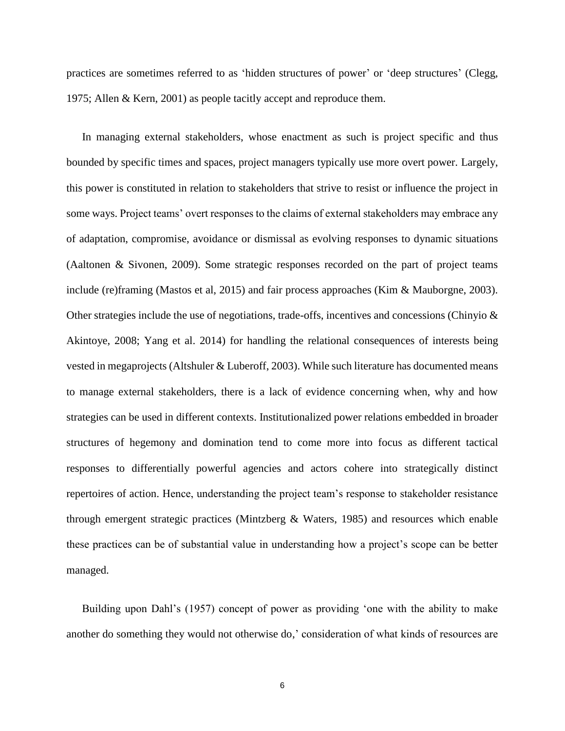practices are sometimes referred to as 'hidden structures of power' or 'deep structures' (Clegg, 1975; Allen & Kern, 2001) as people tacitly accept and reproduce them.

In managing external stakeholders, whose enactment as such is project specific and thus bounded by specific times and spaces, project managers typically use more overt power. Largely, this power is constituted in relation to stakeholders that strive to resist or influence the project in some ways. Project teams' overt responses to the claims of external stakeholders may embrace any of adaptation, compromise, avoidance or dismissal as evolving responses to dynamic situations (Aaltonen & Sivonen, 2009). Some strategic responses recorded on the part of project teams include (re)framing (Mastos et al, 2015) and fair process approaches (Kim & Mauborgne, 2003). Other strategies include the use of negotiations, trade-offs, incentives and concessions (Chinyio  $\&$ Akintoye, 2008; Yang et al. 2014) for handling the relational consequences of interests being vested in megaprojects (Altshuler & Luberoff, 2003). While such literature has documented means to manage external stakeholders, there is a lack of evidence concerning when, why and how strategies can be used in different contexts. Institutionalized power relations embedded in broader structures of hegemony and domination tend to come more into focus as different tactical responses to differentially powerful agencies and actors cohere into strategically distinct repertoires of action. Hence, understanding the project team's response to stakeholder resistance through emergent strategic practices (Mintzberg & Waters, 1985) and resources which enable these practices can be of substantial value in understanding how a project's scope can be better managed.

Building upon Dahl's (1957) concept of power as providing 'one with the ability to make another do something they would not otherwise do,' consideration of what kinds of resources are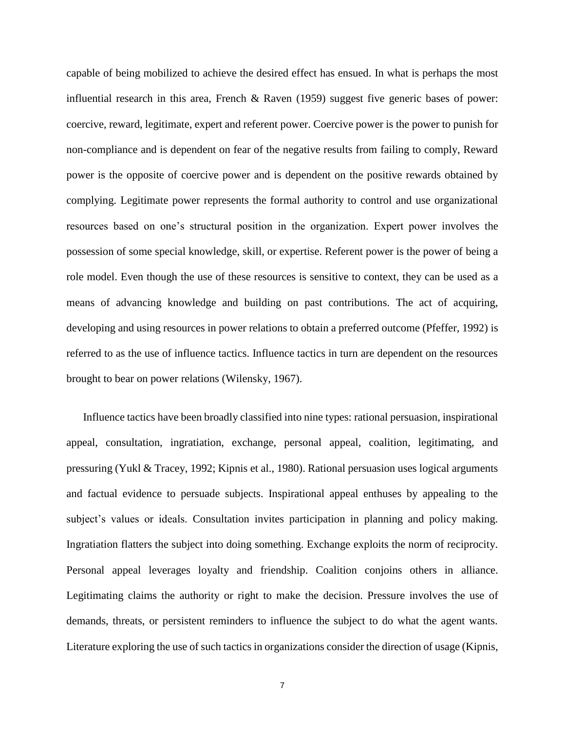capable of being mobilized to achieve the desired effect has ensued. In what is perhaps the most influential research in this area, French & Raven (1959) suggest five generic bases of power: coercive, reward, legitimate, expert and referent power. Coercive power is the power to punish for non-compliance and is dependent on fear of the negative results from failing to comply, Reward power is the opposite of coercive power and is dependent on the positive rewards obtained by complying. Legitimate power represents the formal authority to control and use organizational resources based on one's structural position in the organization. Expert power involves the possession of some special knowledge, skill, or expertise. Referent power is the power of being a role model. Even though the use of these resources is sensitive to context, they can be used as a means of advancing knowledge and building on past contributions. The act of acquiring, developing and using resources in power relations to obtain a preferred outcome (Pfeffer, 1992) is referred to as the use of influence tactics. Influence tactics in turn are dependent on the resources brought to bear on power relations (Wilensky, 1967).

Influence tactics have been broadly classified into nine types: rational persuasion, inspirational appeal, consultation, ingratiation, exchange, personal appeal, coalition, legitimating, and pressuring (Yukl & Tracey, 1992; Kipnis et al., 1980). Rational persuasion uses logical arguments and factual evidence to persuade subjects. Inspirational appeal enthuses by appealing to the subject's values or ideals. Consultation invites participation in planning and policy making. Ingratiation flatters the subject into doing something. Exchange exploits the norm of reciprocity. Personal appeal leverages loyalty and friendship. Coalition conjoins others in alliance. Legitimating claims the authority or right to make the decision. Pressure involves the use of demands, threats, or persistent reminders to influence the subject to do what the agent wants. Literature exploring the use of such tactics in organizations consider the direction of usage (Kipnis,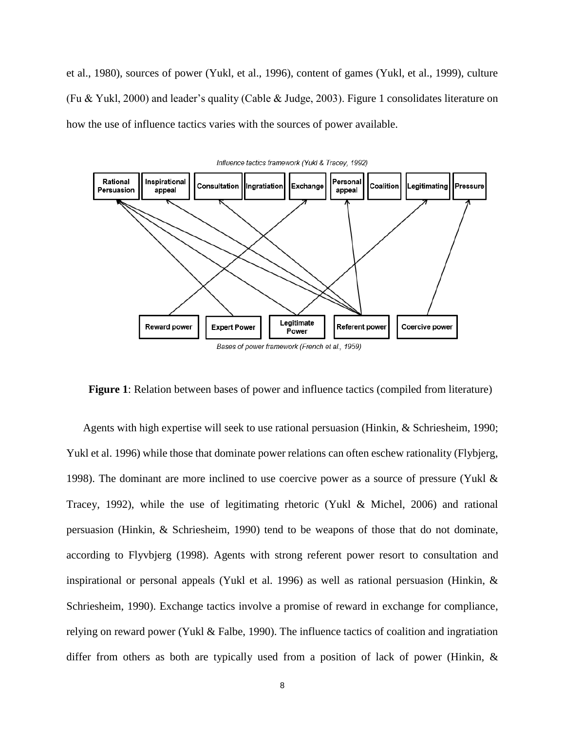et al., 1980), sources of power (Yukl, et al., 1996), content of games (Yukl, et al., 1999), culture (Fu & Yukl, 2000) and leader's quality (Cable & Judge, 2003). Figure 1 consolidates literature on how the use of influence tactics varies with the sources of power available.



**Figure 1**: Relation between bases of power and influence tactics (compiled from literature)

Agents with high expertise will seek to use rational persuasion (Hinkin, & Schriesheim, 1990; Yukl et al. 1996) while those that dominate power relations can often eschew rationality (Flybjerg, 1998). The dominant are more inclined to use coercive power as a source of pressure (Yukl & Tracey, 1992), while the use of legitimating rhetoric (Yukl & Michel, 2006) and rational persuasion (Hinkin, & Schriesheim, 1990) tend to be weapons of those that do not dominate, according to Flyvbjerg (1998). Agents with strong referent power resort to consultation and inspirational or personal appeals (Yukl et al. 1996) as well as rational persuasion (Hinkin, & Schriesheim, 1990). Exchange tactics involve a promise of reward in exchange for compliance, relying on reward power (Yukl & Falbe, 1990). The influence tactics of coalition and ingratiation differ from others as both are typically used from a position of lack of power (Hinkin, &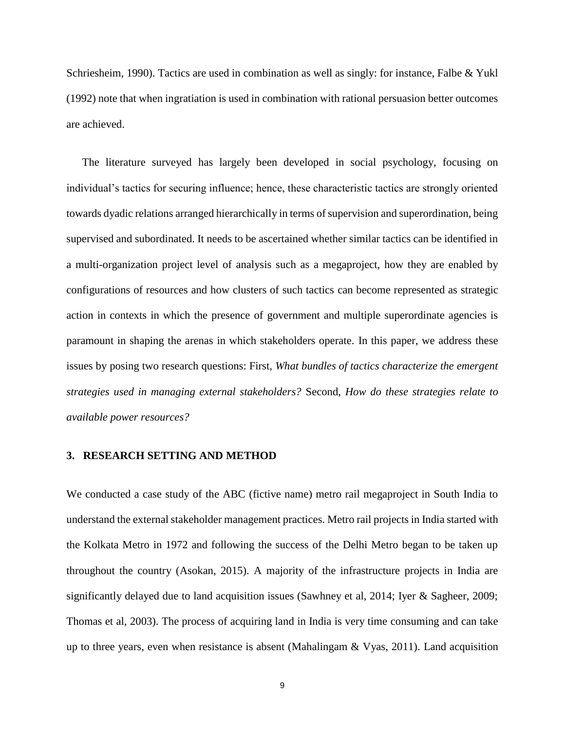Schriesheim, 1990). Tactics are used in combination as well as singly: for instance, Falbe & Yukl (1992) note that when ingratiation is used in combination with rational persuasion better outcomes are achieved.

The literature surveyed has largely been developed in social psychology, focusing on individual's tactics for securing influence; hence, these characteristic tactics are strongly oriented towards dyadic relations arranged hierarchically in terms of supervision and superordination, being supervised and subordinated. It needs to be ascertained whether similar tactics can be identified in a multi-organization project level of analysis such as a megaproject, how they are enabled by configurations of resources and how clusters of such tactics can become represented as strategic action in contexts in which the presence of government and multiple superordinate agencies is paramount in shaping the arenas in which stakeholders operate. In this paper, we address these issues by posing two research questions: First, *What bundles of tactics characterize the emergent strategies used in managing external stakeholders?* Second, *How do these strategies relate to available power resources?*

#### **3. RESEARCH SETTING AND METHOD**

We conducted a case study of the ABC (fictive name) metro rail megaproject in South India to understand the external stakeholder management practices. Metro rail projects in India started with the Kolkata Metro in 1972 and following the success of the Delhi Metro began to be taken up throughout the country (Asokan, 2015). A majority of the infrastructure projects in India are significantly delayed due to land acquisition issues (Sawhney et al, 2014; Iyer & Sagheer, 2009; Thomas et al, 2003). The process of acquiring land in India is very time consuming and can take up to three years, even when resistance is absent (Mahalingam & Vyas, 2011). Land acquisition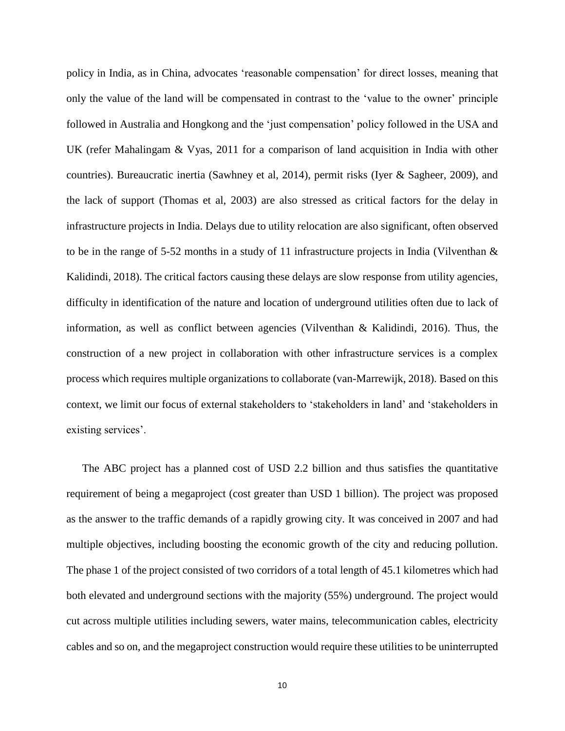policy in India, as in China, advocates 'reasonable compensation' for direct losses, meaning that only the value of the land will be compensated in contrast to the 'value to the owner' principle followed in Australia and Hongkong and the 'just compensation' policy followed in the USA and UK (refer Mahalingam & Vyas, 2011 for a comparison of land acquisition in India with other countries). Bureaucratic inertia (Sawhney et al, 2014), permit risks (Iyer & Sagheer, 2009), and the lack of support (Thomas et al, 2003) are also stressed as critical factors for the delay in infrastructure projects in India. Delays due to utility relocation are also significant, often observed to be in the range of 5-52 months in a study of 11 infrastructure projects in India (Vilventhan  $\&$ Kalidindi, 2018). The critical factors causing these delays are slow response from utility agencies, difficulty in identification of the nature and location of underground utilities often due to lack of information, as well as conflict between agencies (Vilventhan  $\&$  Kalidindi, 2016). Thus, the construction of a new project in collaboration with other infrastructure services is a complex process which requires multiple organizations to collaborate (van-Marrewijk, 2018). Based on this context, we limit our focus of external stakeholders to 'stakeholders in land' and 'stakeholders in existing services'.

The ABC project has a planned cost of USD 2.2 billion and thus satisfies the quantitative requirement of being a megaproject (cost greater than USD 1 billion). The project was proposed as the answer to the traffic demands of a rapidly growing city. It was conceived in 2007 and had multiple objectives, including boosting the economic growth of the city and reducing pollution. The phase 1 of the project consisted of two corridors of a total length of 45.1 kilometres which had both elevated and underground sections with the majority (55%) underground. The project would cut across multiple utilities including sewers, water mains, telecommunication cables, electricity cables and so on, and the megaproject construction would require these utilities to be uninterrupted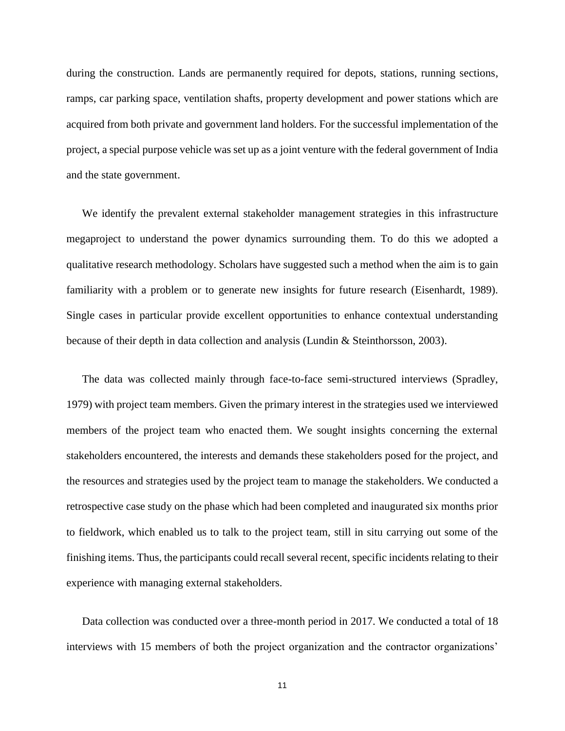during the construction. Lands are permanently required for depots, stations, running sections, ramps, car parking space, ventilation shafts, property development and power stations which are acquired from both private and government land holders. For the successful implementation of the project, a special purpose vehicle was set up as a joint venture with the federal government of India and the state government.

We identify the prevalent external stakeholder management strategies in this infrastructure megaproject to understand the power dynamics surrounding them. To do this we adopted a qualitative research methodology. Scholars have suggested such a method when the aim is to gain familiarity with a problem or to generate new insights for future research (Eisenhardt, 1989). Single cases in particular provide excellent opportunities to enhance contextual understanding because of their depth in data collection and analysis (Lundin & Steinthorsson, 2003).

The data was collected mainly through face-to-face semi-structured interviews (Spradley, 1979) with project team members. Given the primary interest in the strategies used we interviewed members of the project team who enacted them. We sought insights concerning the external stakeholders encountered, the interests and demands these stakeholders posed for the project, and the resources and strategies used by the project team to manage the stakeholders. We conducted a retrospective case study on the phase which had been completed and inaugurated six months prior to fieldwork, which enabled us to talk to the project team, still in situ carrying out some of the finishing items. Thus, the participants could recall several recent, specific incidents relating to their experience with managing external stakeholders.

Data collection was conducted over a three-month period in 2017. We conducted a total of 18 interviews with 15 members of both the project organization and the contractor organizations'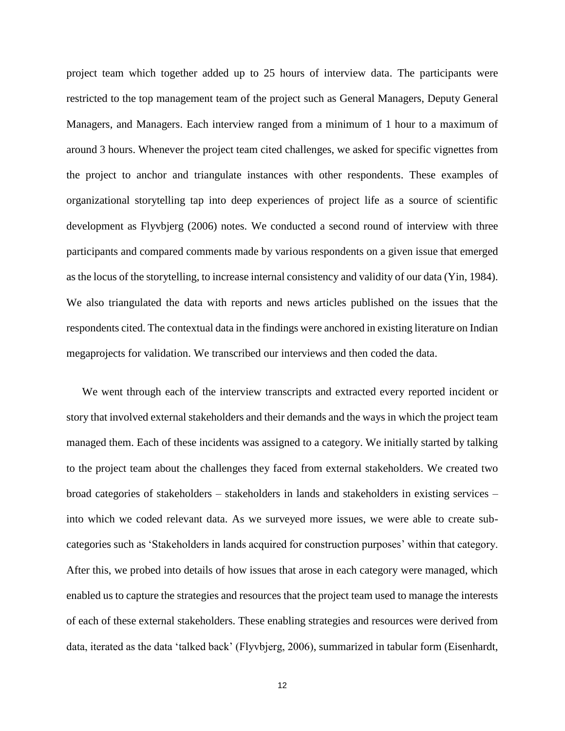project team which together added up to 25 hours of interview data. The participants were restricted to the top management team of the project such as General Managers, Deputy General Managers, and Managers. Each interview ranged from a minimum of 1 hour to a maximum of around 3 hours. Whenever the project team cited challenges, we asked for specific vignettes from the project to anchor and triangulate instances with other respondents. These examples of organizational storytelling tap into deep experiences of project life as a source of scientific development as Flyvbjerg (2006) notes. We conducted a second round of interview with three participants and compared comments made by various respondents on a given issue that emerged as the locus of the storytelling, to increase internal consistency and validity of our data (Yin, 1984). We also triangulated the data with reports and news articles published on the issues that the respondents cited. The contextual data in the findings were anchored in existing literature on Indian megaprojects for validation. We transcribed our interviews and then coded the data.

We went through each of the interview transcripts and extracted every reported incident or story that involved external stakeholders and their demands and the ways in which the project team managed them. Each of these incidents was assigned to a category. We initially started by talking to the project team about the challenges they faced from external stakeholders. We created two broad categories of stakeholders – stakeholders in lands and stakeholders in existing services – into which we coded relevant data. As we surveyed more issues, we were able to create subcategories such as 'Stakeholders in lands acquired for construction purposes' within that category. After this, we probed into details of how issues that arose in each category were managed, which enabled us to capture the strategies and resources that the project team used to manage the interests of each of these external stakeholders. These enabling strategies and resources were derived from data, iterated as the data 'talked back' (Flyvbjerg, 2006), summarized in tabular form (Eisenhardt,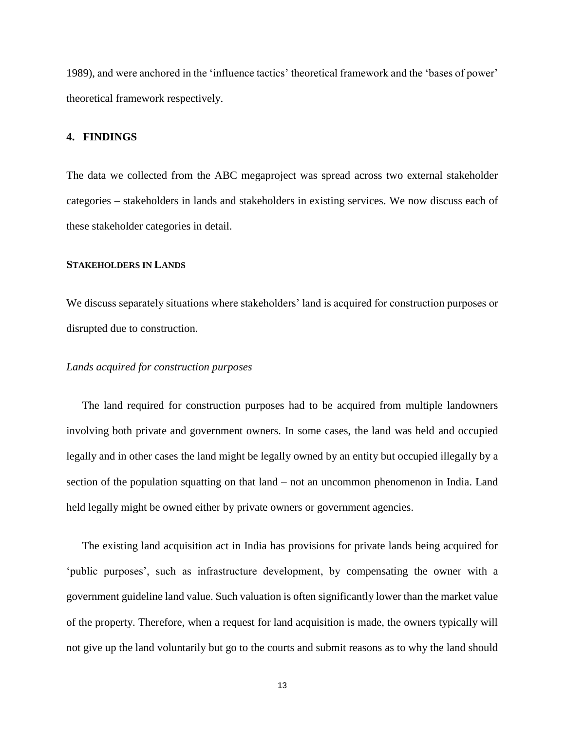1989), and were anchored in the 'influence tactics' theoretical framework and the 'bases of power' theoretical framework respectively.

## **4. FINDINGS**

The data we collected from the ABC megaproject was spread across two external stakeholder categories – stakeholders in lands and stakeholders in existing services. We now discuss each of these stakeholder categories in detail.

## **STAKEHOLDERS IN LANDS**

We discuss separately situations where stakeholders' land is acquired for construction purposes or disrupted due to construction.

## *Lands acquired for construction purposes*

The land required for construction purposes had to be acquired from multiple landowners involving both private and government owners. In some cases, the land was held and occupied legally and in other cases the land might be legally owned by an entity but occupied illegally by a section of the population squatting on that land – not an uncommon phenomenon in India. Land held legally might be owned either by private owners or government agencies.

The existing land acquisition act in India has provisions for private lands being acquired for 'public purposes', such as infrastructure development, by compensating the owner with a government guideline land value. Such valuation is often significantly lower than the market value of the property. Therefore, when a request for land acquisition is made, the owners typically will not give up the land voluntarily but go to the courts and submit reasons as to why the land should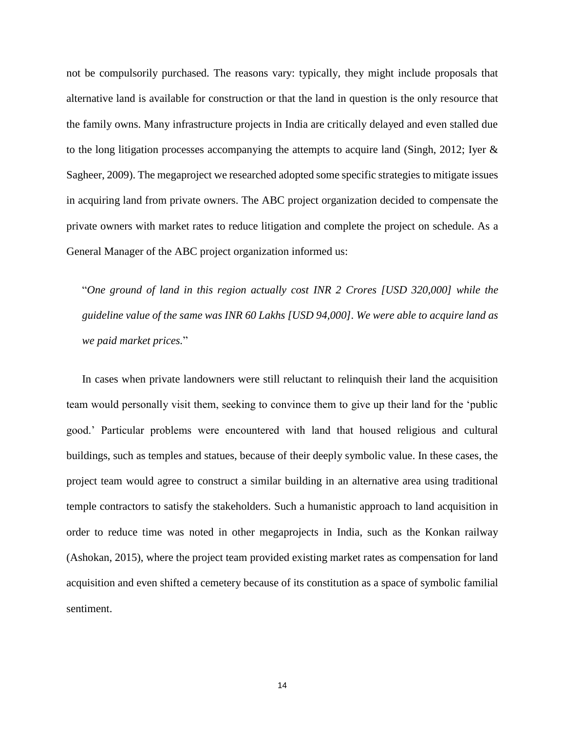not be compulsorily purchased. The reasons vary: typically, they might include proposals that alternative land is available for construction or that the land in question is the only resource that the family owns. Many infrastructure projects in India are critically delayed and even stalled due to the long litigation processes accompanying the attempts to acquire land (Singh, 2012; Iyer & Sagheer, 2009). The megaproject we researched adopted some specific strategies to mitigate issues in acquiring land from private owners. The ABC project organization decided to compensate the private owners with market rates to reduce litigation and complete the project on schedule. As a General Manager of the ABC project organization informed us:

"*One ground of land in this region actually cost INR 2 Crores [USD 320,000] while the guideline value of the same was INR 60 Lakhs [USD 94,000]. We were able to acquire land as we paid market prices.*"

In cases when private landowners were still reluctant to relinquish their land the acquisition team would personally visit them, seeking to convince them to give up their land for the 'public good.' Particular problems were encountered with land that housed religious and cultural buildings, such as temples and statues, because of their deeply symbolic value. In these cases, the project team would agree to construct a similar building in an alternative area using traditional temple contractors to satisfy the stakeholders. Such a humanistic approach to land acquisition in order to reduce time was noted in other megaprojects in India, such as the Konkan railway (Ashokan, 2015), where the project team provided existing market rates as compensation for land acquisition and even shifted a cemetery because of its constitution as a space of symbolic familial sentiment.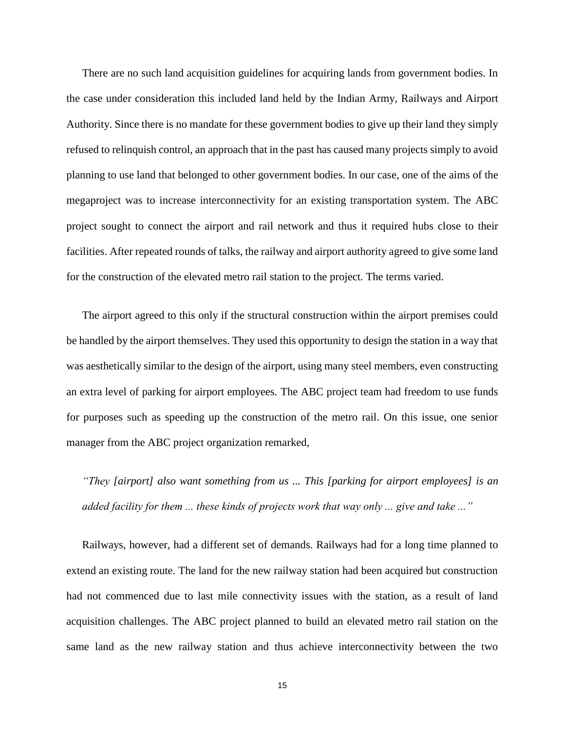There are no such land acquisition guidelines for acquiring lands from government bodies. In the case under consideration this included land held by the Indian Army, Railways and Airport Authority. Since there is no mandate for these government bodies to give up their land they simply refused to relinquish control, an approach that in the past has caused many projects simply to avoid planning to use land that belonged to other government bodies. In our case, one of the aims of the megaproject was to increase interconnectivity for an existing transportation system. The ABC project sought to connect the airport and rail network and thus it required hubs close to their facilities. After repeated rounds of talks, the railway and airport authority agreed to give some land for the construction of the elevated metro rail station to the project. The terms varied.

The airport agreed to this only if the structural construction within the airport premises could be handled by the airport themselves. They used this opportunity to design the station in a way that was aesthetically similar to the design of the airport, using many steel members, even constructing an extra level of parking for airport employees. The ABC project team had freedom to use funds for purposes such as speeding up the construction of the metro rail. On this issue, one senior manager from the ABC project organization remarked,

*"They [airport] also want something from us ... This [parking for airport employees] is an added facility for them ... these kinds of projects work that way only ... give and take ..."*

Railways, however, had a different set of demands. Railways had for a long time planned to extend an existing route. The land for the new railway station had been acquired but construction had not commenced due to last mile connectivity issues with the station, as a result of land acquisition challenges. The ABC project planned to build an elevated metro rail station on the same land as the new railway station and thus achieve interconnectivity between the two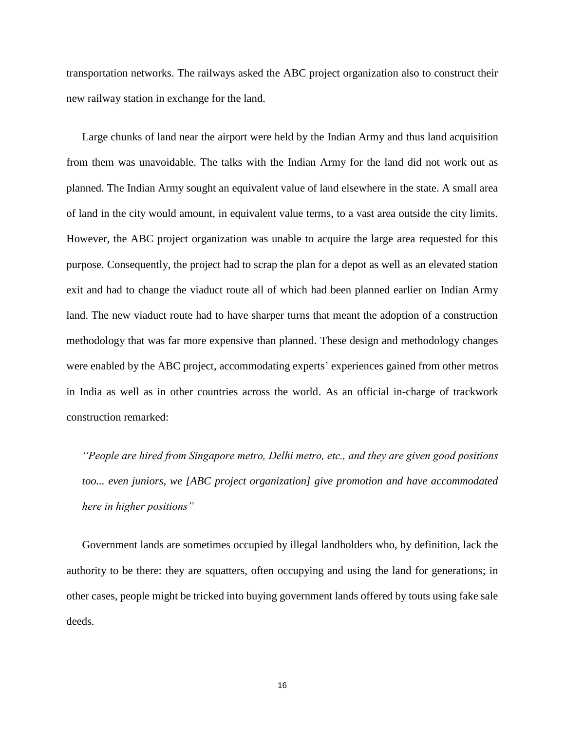transportation networks. The railways asked the ABC project organization also to construct their new railway station in exchange for the land.

Large chunks of land near the airport were held by the Indian Army and thus land acquisition from them was unavoidable. The talks with the Indian Army for the land did not work out as planned. The Indian Army sought an equivalent value of land elsewhere in the state. A small area of land in the city would amount, in equivalent value terms, to a vast area outside the city limits. However, the ABC project organization was unable to acquire the large area requested for this purpose. Consequently, the project had to scrap the plan for a depot as well as an elevated station exit and had to change the viaduct route all of which had been planned earlier on Indian Army land. The new viaduct route had to have sharper turns that meant the adoption of a construction methodology that was far more expensive than planned. These design and methodology changes were enabled by the ABC project, accommodating experts' experiences gained from other metros in India as well as in other countries across the world. As an official in-charge of trackwork construction remarked:

*"People are hired from Singapore metro, Delhi metro, etc., and they are given good positions too... even juniors, we [ABC project organization] give promotion and have accommodated here in higher positions"*

Government lands are sometimes occupied by illegal landholders who, by definition, lack the authority to be there: they are squatters, often occupying and using the land for generations; in other cases, people might be tricked into buying government lands offered by touts using fake sale deeds.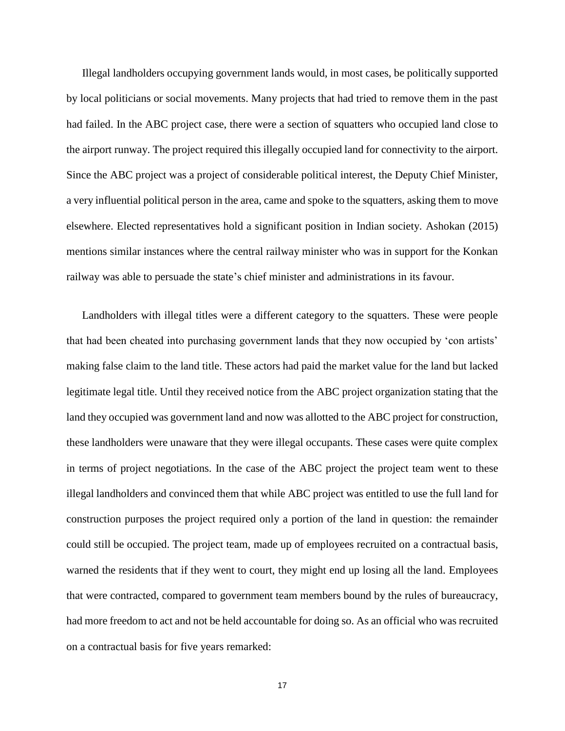Illegal landholders occupying government lands would, in most cases, be politically supported by local politicians or social movements. Many projects that had tried to remove them in the past had failed. In the ABC project case, there were a section of squatters who occupied land close to the airport runway. The project required this illegally occupied land for connectivity to the airport. Since the ABC project was a project of considerable political interest, the Deputy Chief Minister, a very influential political person in the area, came and spoke to the squatters, asking them to move elsewhere. Elected representatives hold a significant position in Indian society. Ashokan (2015) mentions similar instances where the central railway minister who was in support for the Konkan railway was able to persuade the state's chief minister and administrations in its favour.

Landholders with illegal titles were a different category to the squatters. These were people that had been cheated into purchasing government lands that they now occupied by 'con artists' making false claim to the land title. These actors had paid the market value for the land but lacked legitimate legal title. Until they received notice from the ABC project organization stating that the land they occupied was government land and now was allotted to the ABC project for construction, these landholders were unaware that they were illegal occupants. These cases were quite complex in terms of project negotiations. In the case of the ABC project the project team went to these illegal landholders and convinced them that while ABC project was entitled to use the full land for construction purposes the project required only a portion of the land in question: the remainder could still be occupied. The project team, made up of employees recruited on a contractual basis, warned the residents that if they went to court, they might end up losing all the land. Employees that were contracted, compared to government team members bound by the rules of bureaucracy, had more freedom to act and not be held accountable for doing so. As an official who was recruited on a contractual basis for five years remarked: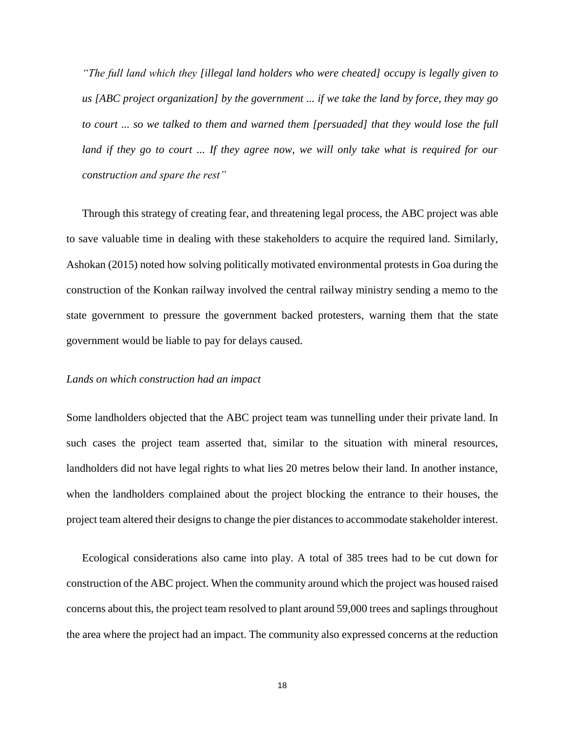*"The full land which they [illegal land holders who were cheated] occupy is legally given to us [ABC project organization] by the government ... if we take the land by force, they may go to court ... so we talked to them and warned them [persuaded] that they would lose the full land if they go to court ... If they agree now, we will only take what is required for our construction and spare the rest"*

Through this strategy of creating fear, and threatening legal process, the ABC project was able to save valuable time in dealing with these stakeholders to acquire the required land. Similarly, Ashokan (2015) noted how solving politically motivated environmental protests in Goa during the construction of the Konkan railway involved the central railway ministry sending a memo to the state government to pressure the government backed protesters, warning them that the state government would be liable to pay for delays caused.

#### *Lands on which construction had an impact*

Some landholders objected that the ABC project team was tunnelling under their private land. In such cases the project team asserted that, similar to the situation with mineral resources, landholders did not have legal rights to what lies 20 metres below their land. In another instance, when the landholders complained about the project blocking the entrance to their houses, the project team altered their designs to change the pier distances to accommodate stakeholder interest.

Ecological considerations also came into play. A total of 385 trees had to be cut down for construction of the ABC project. When the community around which the project was housed raised concerns about this, the project team resolved to plant around 59,000 trees and saplings throughout the area where the project had an impact. The community also expressed concerns at the reduction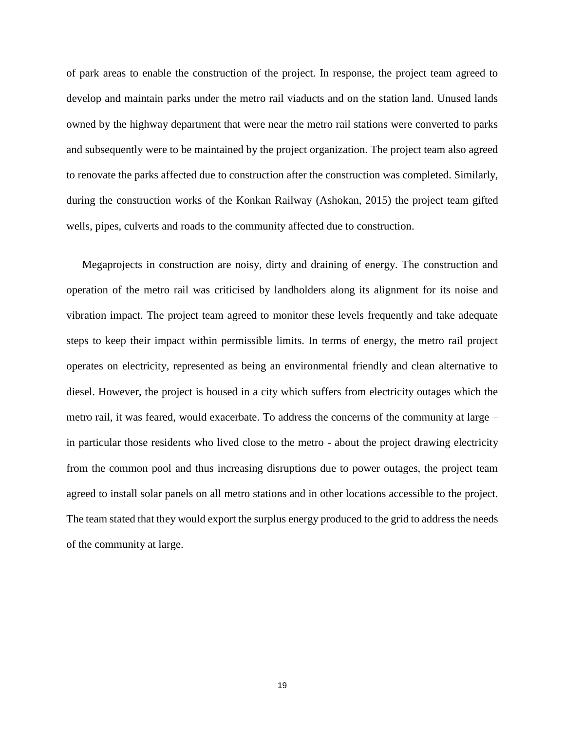of park areas to enable the construction of the project. In response, the project team agreed to develop and maintain parks under the metro rail viaducts and on the station land. Unused lands owned by the highway department that were near the metro rail stations were converted to parks and subsequently were to be maintained by the project organization. The project team also agreed to renovate the parks affected due to construction after the construction was completed. Similarly, during the construction works of the Konkan Railway (Ashokan, 2015) the project team gifted wells, pipes, culverts and roads to the community affected due to construction.

Megaprojects in construction are noisy, dirty and draining of energy. The construction and operation of the metro rail was criticised by landholders along its alignment for its noise and vibration impact. The project team agreed to monitor these levels frequently and take adequate steps to keep their impact within permissible limits. In terms of energy, the metro rail project operates on electricity, represented as being an environmental friendly and clean alternative to diesel. However, the project is housed in a city which suffers from electricity outages which the metro rail, it was feared, would exacerbate. To address the concerns of the community at large – in particular those residents who lived close to the metro - about the project drawing electricity from the common pool and thus increasing disruptions due to power outages, the project team agreed to install solar panels on all metro stations and in other locations accessible to the project. The team stated that they would export the surplus energy produced to the grid to address the needs of the community at large.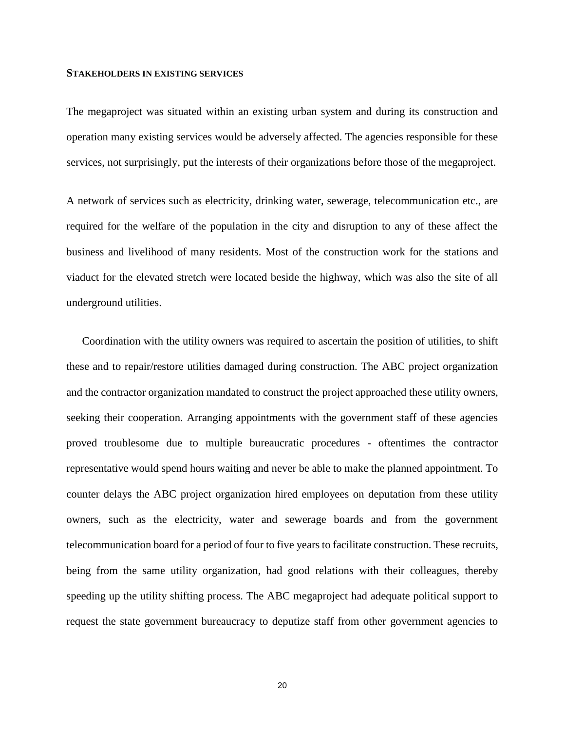#### **STAKEHOLDERS IN EXISTING SERVICES**

The megaproject was situated within an existing urban system and during its construction and operation many existing services would be adversely affected. The agencies responsible for these services, not surprisingly, put the interests of their organizations before those of the megaproject.

A network of services such as electricity, drinking water, sewerage, telecommunication etc., are required for the welfare of the population in the city and disruption to any of these affect the business and livelihood of many residents. Most of the construction work for the stations and viaduct for the elevated stretch were located beside the highway, which was also the site of all underground utilities.

Coordination with the utility owners was required to ascertain the position of utilities, to shift these and to repair/restore utilities damaged during construction. The ABC project organization and the contractor organization mandated to construct the project approached these utility owners, seeking their cooperation. Arranging appointments with the government staff of these agencies proved troublesome due to multiple bureaucratic procedures - oftentimes the contractor representative would spend hours waiting and never be able to make the planned appointment. To counter delays the ABC project organization hired employees on deputation from these utility owners, such as the electricity, water and sewerage boards and from the government telecommunication board for a period of four to five years to facilitate construction. These recruits, being from the same utility organization, had good relations with their colleagues, thereby speeding up the utility shifting process. The ABC megaproject had adequate political support to request the state government bureaucracy to deputize staff from other government agencies to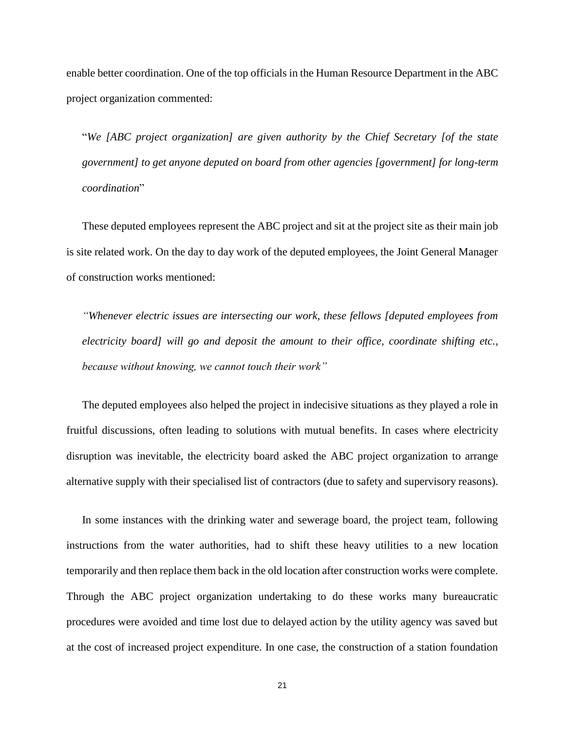enable better coordination. One of the top officials in the Human Resource Department in the ABC project organization commented:

"*We [ABC project organization] are given authority by the Chief Secretary [of the state government] to get anyone deputed on board from other agencies [government] for long-term coordination*"

These deputed employees represent the ABC project and sit at the project site as their main job is site related work. On the day to day work of the deputed employees, the Joint General Manager of construction works mentioned:

*"Whenever electric issues are intersecting our work, these fellows [deputed employees from electricity board] will go and deposit the amount to their office, coordinate shifting etc., because without knowing, we cannot touch their work"*

The deputed employees also helped the project in indecisive situations as they played a role in fruitful discussions, often leading to solutions with mutual benefits. In cases where electricity disruption was inevitable, the electricity board asked the ABC project organization to arrange alternative supply with their specialised list of contractors (due to safety and supervisory reasons).

In some instances with the drinking water and sewerage board, the project team, following instructions from the water authorities, had to shift these heavy utilities to a new location temporarily and then replace them back in the old location after construction works were complete. Through the ABC project organization undertaking to do these works many bureaucratic procedures were avoided and time lost due to delayed action by the utility agency was saved but at the cost of increased project expenditure. In one case, the construction of a station foundation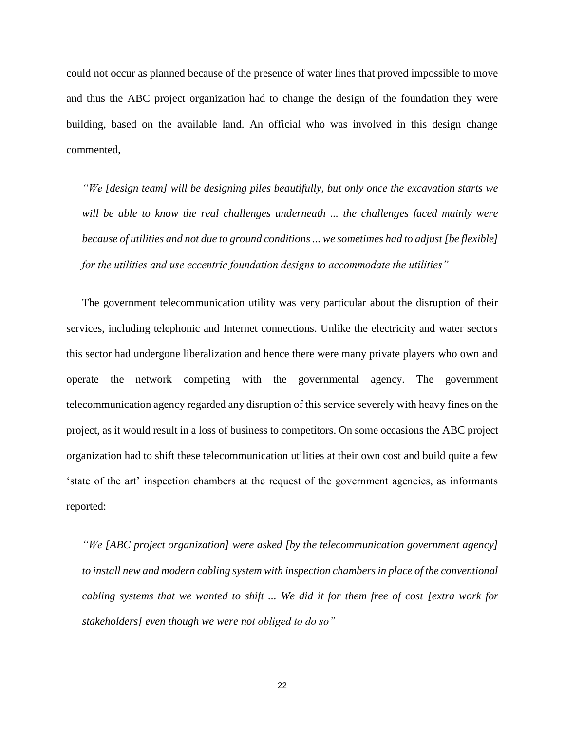could not occur as planned because of the presence of water lines that proved impossible to move and thus the ABC project organization had to change the design of the foundation they were building, based on the available land. An official who was involved in this design change commented,

*"We [design team] will be designing piles beautifully, but only once the excavation starts we will be able to know the real challenges underneath ... the challenges faced mainly were because of utilities and not due to ground conditions ... we sometimes had to adjust [be flexible] for the utilities and use eccentric foundation designs to accommodate the utilities"*

The government telecommunication utility was very particular about the disruption of their services, including telephonic and Internet connections. Unlike the electricity and water sectors this sector had undergone liberalization and hence there were many private players who own and operate the network competing with the governmental agency. The government telecommunication agency regarded any disruption of this service severely with heavy fines on the project, as it would result in a loss of business to competitors. On some occasions the ABC project organization had to shift these telecommunication utilities at their own cost and build quite a few 'state of the art' inspection chambers at the request of the government agencies, as informants reported:

*"We [ABC project organization] were asked [by the telecommunication government agency] to install new and modern cabling system with inspection chambers in place of the conventional cabling systems that we wanted to shift ... We did it for them free of cost [extra work for stakeholders] even though we were not obliged to do so"*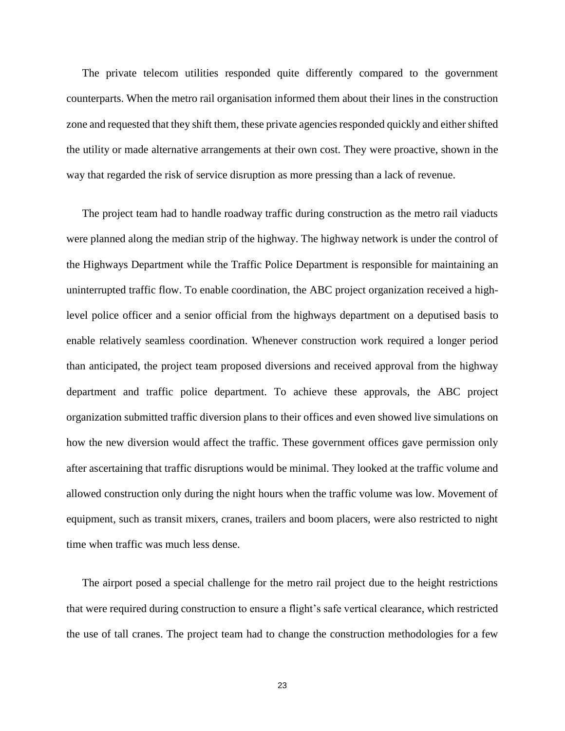The private telecom utilities responded quite differently compared to the government counterparts. When the metro rail organisation informed them about their lines in the construction zone and requested that they shift them, these private agencies responded quickly and either shifted the utility or made alternative arrangements at their own cost. They were proactive, shown in the way that regarded the risk of service disruption as more pressing than a lack of revenue.

The project team had to handle roadway traffic during construction as the metro rail viaducts were planned along the median strip of the highway. The highway network is under the control of the Highways Department while the Traffic Police Department is responsible for maintaining an uninterrupted traffic flow. To enable coordination, the ABC project organization received a highlevel police officer and a senior official from the highways department on a deputised basis to enable relatively seamless coordination. Whenever construction work required a longer period than anticipated, the project team proposed diversions and received approval from the highway department and traffic police department. To achieve these approvals, the ABC project organization submitted traffic diversion plans to their offices and even showed live simulations on how the new diversion would affect the traffic. These government offices gave permission only after ascertaining that traffic disruptions would be minimal. They looked at the traffic volume and allowed construction only during the night hours when the traffic volume was low. Movement of equipment, such as transit mixers, cranes, trailers and boom placers, were also restricted to night time when traffic was much less dense.

The airport posed a special challenge for the metro rail project due to the height restrictions that were required during construction to ensure a flight's safe vertical clearance, which restricted the use of tall cranes. The project team had to change the construction methodologies for a few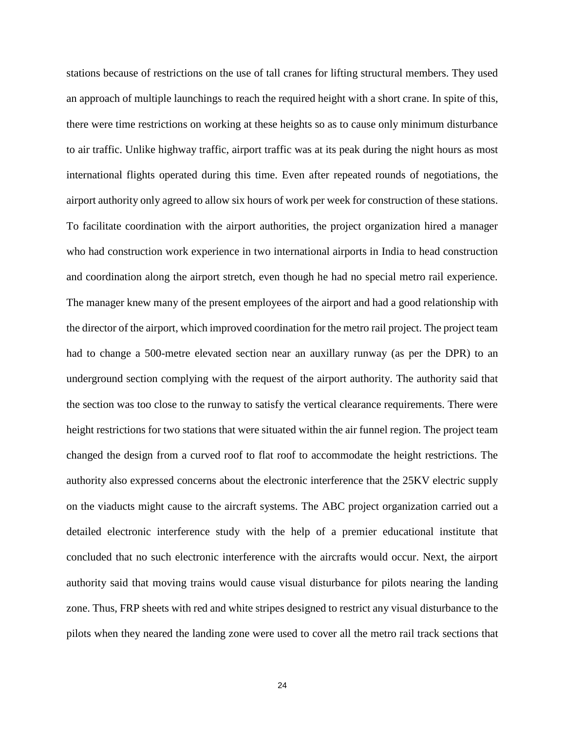stations because of restrictions on the use of tall cranes for lifting structural members. They used an approach of multiple launchings to reach the required height with a short crane. In spite of this, there were time restrictions on working at these heights so as to cause only minimum disturbance to air traffic. Unlike highway traffic, airport traffic was at its peak during the night hours as most international flights operated during this time. Even after repeated rounds of negotiations, the airport authority only agreed to allow six hours of work per week for construction of these stations. To facilitate coordination with the airport authorities, the project organization hired a manager who had construction work experience in two international airports in India to head construction and coordination along the airport stretch, even though he had no special metro rail experience. The manager knew many of the present employees of the airport and had a good relationship with the director of the airport, which improved coordination for the metro rail project. The project team had to change a 500-metre elevated section near an auxillary runway (as per the DPR) to an underground section complying with the request of the airport authority. The authority said that the section was too close to the runway to satisfy the vertical clearance requirements. There were height restrictions for two stations that were situated within the air funnel region. The project team changed the design from a curved roof to flat roof to accommodate the height restrictions. The authority also expressed concerns about the electronic interference that the 25KV electric supply on the viaducts might cause to the aircraft systems. The ABC project organization carried out a detailed electronic interference study with the help of a premier educational institute that concluded that no such electronic interference with the aircrafts would occur. Next, the airport authority said that moving trains would cause visual disturbance for pilots nearing the landing zone. Thus, FRP sheets with red and white stripes designed to restrict any visual disturbance to the pilots when they neared the landing zone were used to cover all the metro rail track sections that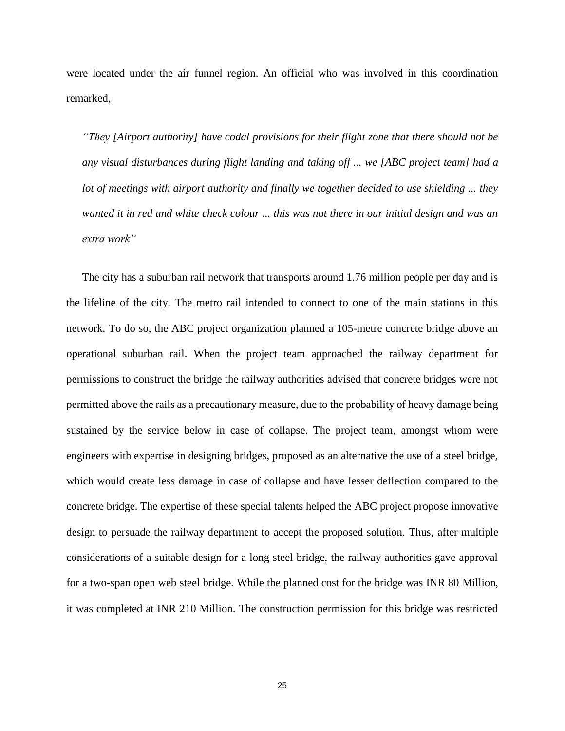were located under the air funnel region. An official who was involved in this coordination remarked,

*"They [Airport authority] have codal provisions for their flight zone that there should not be any visual disturbances during flight landing and taking off ... we [ABC project team] had a lot of meetings with airport authority and finally we together decided to use shielding ... they wanted it in red and white check colour ... this was not there in our initial design and was an extra work"*

The city has a suburban rail network that transports around 1.76 million people per day and is the lifeline of the city. The metro rail intended to connect to one of the main stations in this network. To do so, the ABC project organization planned a 105-metre concrete bridge above an operational suburban rail. When the project team approached the railway department for permissions to construct the bridge the railway authorities advised that concrete bridges were not permitted above the rails as a precautionary measure, due to the probability of heavy damage being sustained by the service below in case of collapse. The project team, amongst whom were engineers with expertise in designing bridges, proposed as an alternative the use of a steel bridge, which would create less damage in case of collapse and have lesser deflection compared to the concrete bridge. The expertise of these special talents helped the ABC project propose innovative design to persuade the railway department to accept the proposed solution. Thus, after multiple considerations of a suitable design for a long steel bridge, the railway authorities gave approval for a two-span open web steel bridge. While the planned cost for the bridge was INR 80 Million, it was completed at INR 210 Million. The construction permission for this bridge was restricted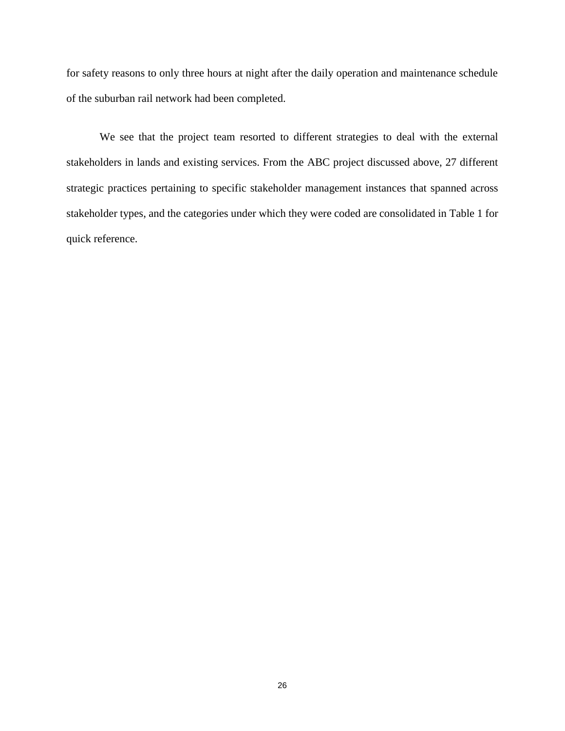for safety reasons to only three hours at night after the daily operation and maintenance schedule of the suburban rail network had been completed.

We see that the project team resorted to different strategies to deal with the external stakeholders in lands and existing services. From the ABC project discussed above, 27 different strategic practices pertaining to specific stakeholder management instances that spanned across stakeholder types, and the categories under which they were coded are consolidated in Table 1 for quick reference.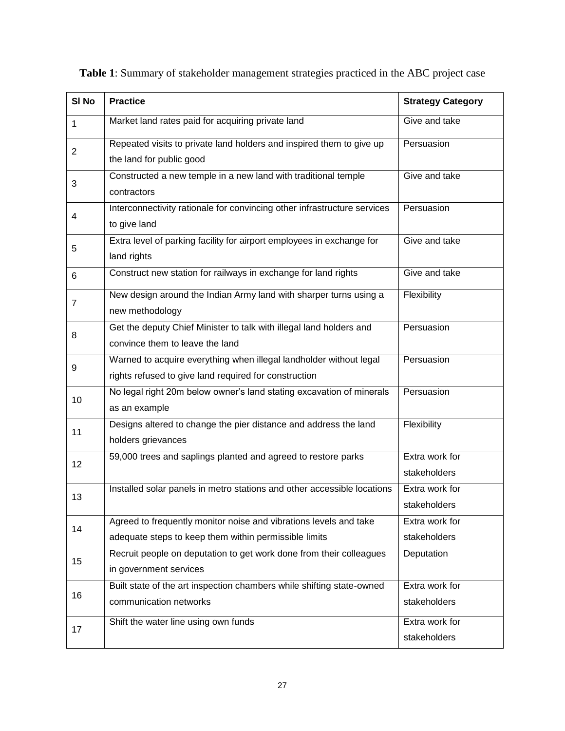| SI <sub>No</sub> | <b>Practice</b>                                                                                                             | <b>Strategy Category</b>       |
|------------------|-----------------------------------------------------------------------------------------------------------------------------|--------------------------------|
| 1                | Market land rates paid for acquiring private land                                                                           | Give and take                  |
| $\overline{2}$   | Repeated visits to private land holders and inspired them to give up<br>the land for public good                            | Persuasion                     |
| 3                | Constructed a new temple in a new land with traditional temple<br>contractors                                               | Give and take                  |
| 4                | Interconnectivity rationale for convincing other infrastructure services<br>to give land                                    | Persuasion                     |
| 5                | Extra level of parking facility for airport employees in exchange for<br>land rights                                        | Give and take                  |
| 6                | Construct new station for railways in exchange for land rights                                                              | Give and take                  |
| $\overline{7}$   | New design around the Indian Army land with sharper turns using a<br>new methodology                                        | Flexibility                    |
| 8                | Get the deputy Chief Minister to talk with illegal land holders and<br>convince them to leave the land                      | Persuasion                     |
| 9                | Warned to acquire everything when illegal landholder without legal<br>rights refused to give land required for construction | Persuasion                     |
| 10               | No legal right 20m below owner's land stating excavation of minerals<br>as an example                                       | Persuasion                     |
| 11               | Designs altered to change the pier distance and address the land<br>holders grievances                                      | Flexibility                    |
| 12               | 59,000 trees and saplings planted and agreed to restore parks                                                               | Extra work for<br>stakeholders |
| 13               | Installed solar panels in metro stations and other accessible locations                                                     | Extra work for<br>stakeholders |
| 14               | Agreed to frequently monitor noise and vibrations levels and take<br>adequate steps to keep them within permissible limits  | Extra work for<br>stakeholders |
| 15               | Recruit people on deputation to get work done from their colleagues<br>in government services                               | Deputation                     |
| 16               | Built state of the art inspection chambers while shifting state-owned<br>communication networks                             | Extra work for<br>stakeholders |
| 17               | Shift the water line using own funds                                                                                        | Extra work for<br>stakeholders |

|  | Table 1: Summary of stakeholder management strategies practiced in the ABC project case |
|--|-----------------------------------------------------------------------------------------|
|--|-----------------------------------------------------------------------------------------|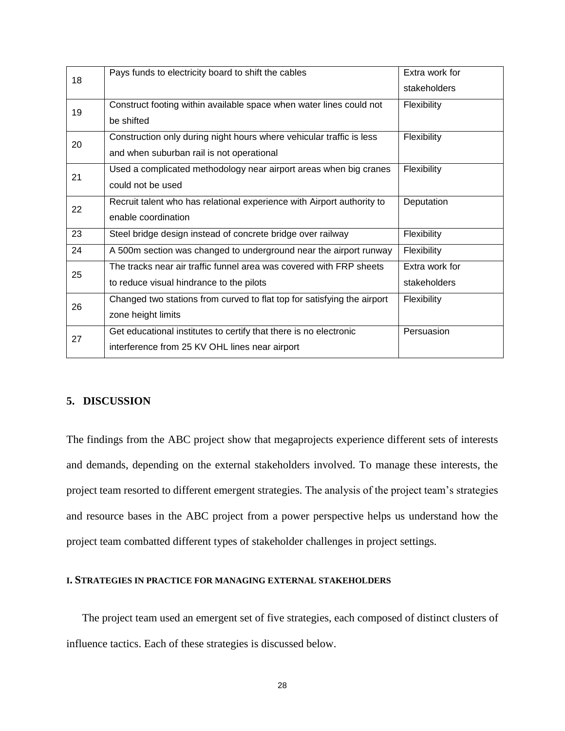| 18 | Pays funds to electricity board to shift the cables                     | Extra work for |
|----|-------------------------------------------------------------------------|----------------|
|    |                                                                         | stakeholders   |
| 19 | Construct footing within available space when water lines could not     | Flexibility    |
|    | be shifted                                                              |                |
| 20 | Construction only during night hours where vehicular traffic is less    | Flexibility    |
|    | and when suburban rail is not operational                               |                |
| 21 | Used a complicated methodology near airport areas when big cranes       | Flexibility    |
|    | could not be used                                                       |                |
| 22 | Recruit talent who has relational experience with Airport authority to  | Deputation     |
|    | enable coordination                                                     |                |
| 23 | Steel bridge design instead of concrete bridge over railway             | Flexibility    |
| 24 | A 500m section was changed to underground near the airport runway       | Flexibility    |
| 25 | The tracks near air traffic funnel area was covered with FRP sheets     | Extra work for |
|    | to reduce visual hindrance to the pilots                                | stakeholders   |
| 26 | Changed two stations from curved to flat top for satisfying the airport | Flexibility    |
|    | zone height limits                                                      |                |
| 27 | Get educational institutes to certify that there is no electronic       | Persuasion     |
|    | interference from 25 KV OHL lines near airport                          |                |
|    |                                                                         |                |

# **5. DISCUSSION**

The findings from the ABC project show that megaprojects experience different sets of interests and demands, depending on the external stakeholders involved. To manage these interests, the project team resorted to different emergent strategies. The analysis of the project team's strategies and resource bases in the ABC project from a power perspective helps us understand how the project team combatted different types of stakeholder challenges in project settings.

## **I. STRATEGIES IN PRACTICE FOR MANAGING EXTERNAL STAKEHOLDERS**

The project team used an emergent set of five strategies, each composed of distinct clusters of influence tactics. Each of these strategies is discussed below.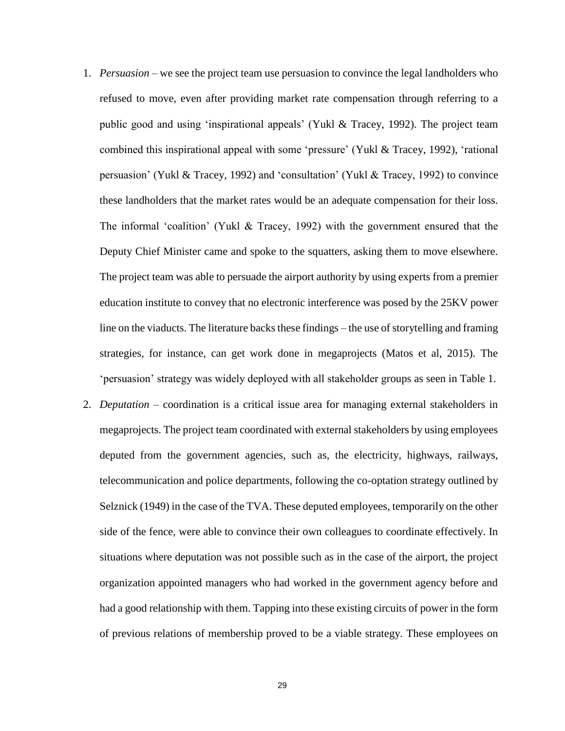- 1. *Persuasion* we see the project team use persuasion to convince the legal landholders who refused to move, even after providing market rate compensation through referring to a public good and using 'inspirational appeals' (Yukl & Tracey, 1992). The project team combined this inspirational appeal with some 'pressure' (Yukl & Tracey, 1992), 'rational persuasion' (Yukl & Tracey, 1992) and 'consultation' (Yukl & Tracey, 1992) to convince these landholders that the market rates would be an adequate compensation for their loss. The informal 'coalition' (Yukl & Tracey, 1992) with the government ensured that the Deputy Chief Minister came and spoke to the squatters, asking them to move elsewhere. The project team was able to persuade the airport authority by using experts from a premier education institute to convey that no electronic interference was posed by the 25KV power line on the viaducts. The literature backs these findings – the use of storytelling and framing strategies, for instance, can get work done in megaprojects (Matos et al, 2015). The 'persuasion' strategy was widely deployed with all stakeholder groups as seen in Table 1.
- 2. *Deputation* coordination is a critical issue area for managing external stakeholders in megaprojects. The project team coordinated with external stakeholders by using employees deputed from the government agencies, such as, the electricity, highways, railways, telecommunication and police departments, following the co-optation strategy outlined by Selznick (1949) in the case of the TVA. These deputed employees, temporarily on the other side of the fence, were able to convince their own colleagues to coordinate effectively. In situations where deputation was not possible such as in the case of the airport, the project organization appointed managers who had worked in the government agency before and had a good relationship with them. Tapping into these existing circuits of power in the form of previous relations of membership proved to be a viable strategy. These employees on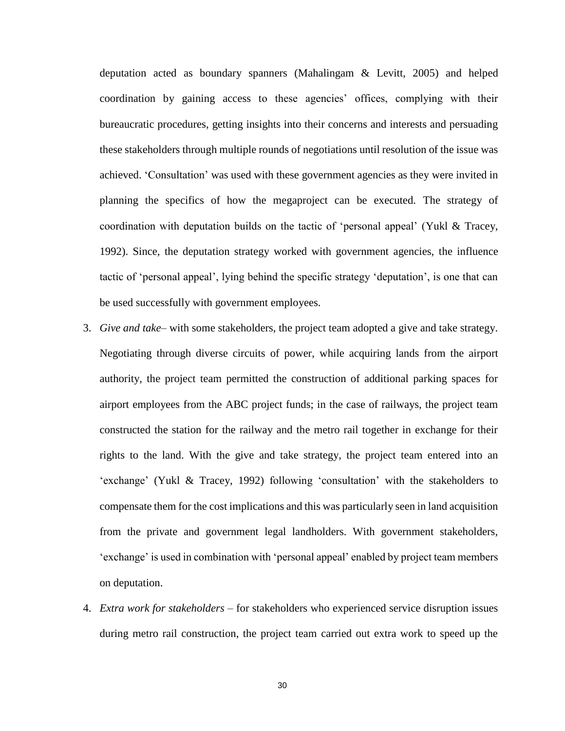deputation acted as boundary spanners (Mahalingam & Levitt, 2005) and helped coordination by gaining access to these agencies' offices, complying with their bureaucratic procedures, getting insights into their concerns and interests and persuading these stakeholders through multiple rounds of negotiations until resolution of the issue was achieved. 'Consultation' was used with these government agencies as they were invited in planning the specifics of how the megaproject can be executed. The strategy of coordination with deputation builds on the tactic of 'personal appeal' (Yukl & Tracey, 1992). Since, the deputation strategy worked with government agencies, the influence tactic of 'personal appeal', lying behind the specific strategy 'deputation', is one that can be used successfully with government employees.

- 3. *Give and take* with some stakeholders, the project team adopted a give and take strategy. Negotiating through diverse circuits of power, while acquiring lands from the airport authority, the project team permitted the construction of additional parking spaces for airport employees from the ABC project funds; in the case of railways, the project team constructed the station for the railway and the metro rail together in exchange for their rights to the land. With the give and take strategy, the project team entered into an 'exchange' (Yukl & Tracey, 1992) following 'consultation' with the stakeholders to compensate them for the cost implications and this was particularly seen in land acquisition from the private and government legal landholders. With government stakeholders, 'exchange' is used in combination with 'personal appeal' enabled by project team members on deputation.
- 4. *Extra work for stakeholders* for stakeholders who experienced service disruption issues during metro rail construction, the project team carried out extra work to speed up the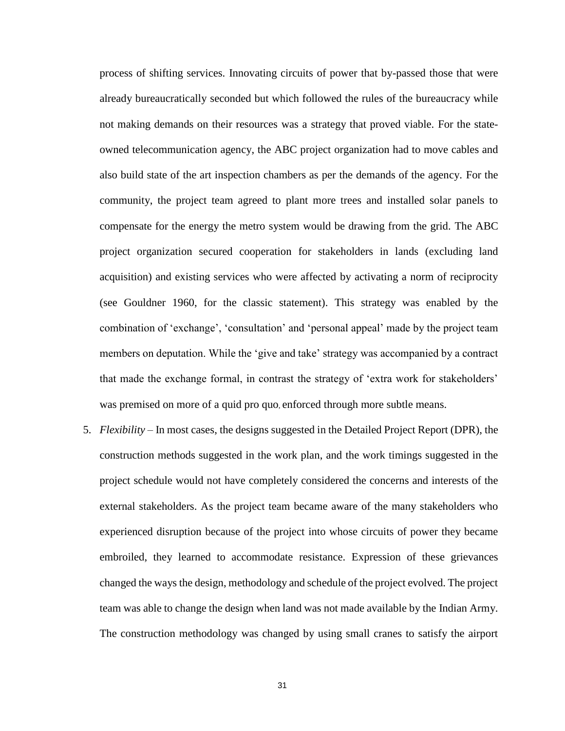process of shifting services. Innovating circuits of power that by-passed those that were already bureaucratically seconded but which followed the rules of the bureaucracy while not making demands on their resources was a strategy that proved viable. For the stateowned telecommunication agency, the ABC project organization had to move cables and also build state of the art inspection chambers as per the demands of the agency. For the community, the project team agreed to plant more trees and installed solar panels to compensate for the energy the metro system would be drawing from the grid. The ABC project organization secured cooperation for stakeholders in lands (excluding land acquisition) and existing services who were affected by activating a norm of reciprocity (see Gouldner 1960, for the classic statement). This strategy was enabled by the combination of 'exchange', 'consultation' and 'personal appeal' made by the project team members on deputation. While the 'give and take' strategy was accompanied by a contract that made the exchange formal, in contrast the strategy of 'extra work for stakeholders' was premised on more of a quid pro quo, enforced through more subtle means.

5. *Flexibility* – In most cases, the designs suggested in the Detailed Project Report (DPR), the construction methods suggested in the work plan, and the work timings suggested in the project schedule would not have completely considered the concerns and interests of the external stakeholders. As the project team became aware of the many stakeholders who experienced disruption because of the project into whose circuits of power they became embroiled, they learned to accommodate resistance. Expression of these grievances changed the ways the design, methodology and schedule of the project evolved. The project team was able to change the design when land was not made available by the Indian Army. The construction methodology was changed by using small cranes to satisfy the airport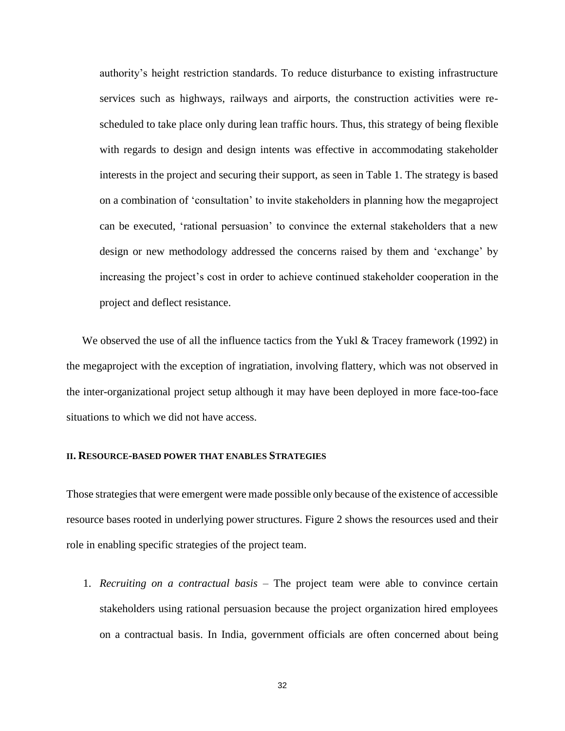authority's height restriction standards. To reduce disturbance to existing infrastructure services such as highways, railways and airports, the construction activities were rescheduled to take place only during lean traffic hours. Thus, this strategy of being flexible with regards to design and design intents was effective in accommodating stakeholder interests in the project and securing their support, as seen in Table 1. The strategy is based on a combination of 'consultation' to invite stakeholders in planning how the megaproject can be executed, 'rational persuasion' to convince the external stakeholders that a new design or new methodology addressed the concerns raised by them and 'exchange' by increasing the project's cost in order to achieve continued stakeholder cooperation in the project and deflect resistance.

We observed the use of all the influence tactics from the Yukl  $\&$  Tracey framework (1992) in the megaproject with the exception of ingratiation, involving flattery, which was not observed in the inter-organizational project setup although it may have been deployed in more face-too-face situations to which we did not have access.

## **II. RESOURCE-BASED POWER THAT ENABLES STRATEGIES**

Those strategies that were emergent were made possible only because of the existence of accessible resource bases rooted in underlying power structures. Figure 2 shows the resources used and their role in enabling specific strategies of the project team.

1. *Recruiting on a contractual basis* – The project team were able to convince certain stakeholders using rational persuasion because the project organization hired employees on a contractual basis. In India, government officials are often concerned about being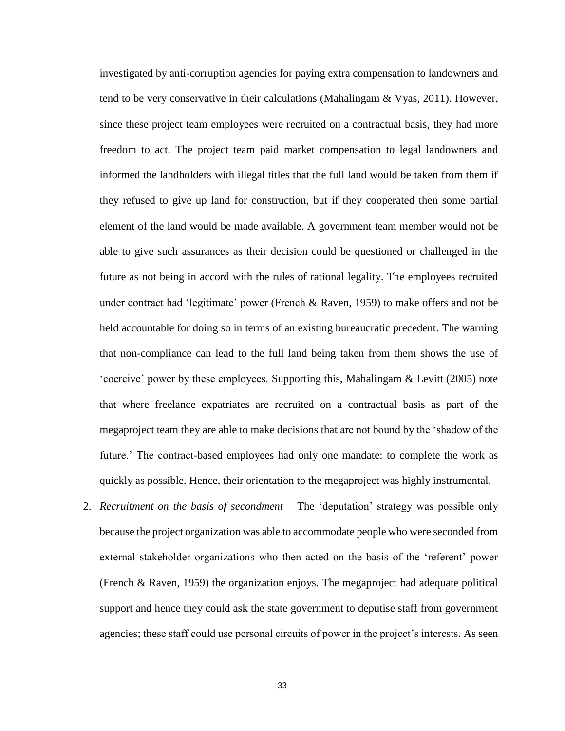investigated by anti-corruption agencies for paying extra compensation to landowners and tend to be very conservative in their calculations (Mahalingam & Vyas, 2011). However, since these project team employees were recruited on a contractual basis, they had more freedom to act. The project team paid market compensation to legal landowners and informed the landholders with illegal titles that the full land would be taken from them if they refused to give up land for construction, but if they cooperated then some partial element of the land would be made available. A government team member would not be able to give such assurances as their decision could be questioned or challenged in the future as not being in accord with the rules of rational legality. The employees recruited under contract had 'legitimate' power (French & Raven, 1959) to make offers and not be held accountable for doing so in terms of an existing bureaucratic precedent. The warning that non-compliance can lead to the full land being taken from them shows the use of 'coercive' power by these employees. Supporting this, Mahalingam & Levitt (2005) note that where freelance expatriates are recruited on a contractual basis as part of the megaproject team they are able to make decisions that are not bound by the 'shadow of the future.' The contract-based employees had only one mandate: to complete the work as quickly as possible. Hence, their orientation to the megaproject was highly instrumental.

2. *Recruitment on the basis of secondment* – The 'deputation' strategy was possible only because the project organization was able to accommodate people who were seconded from external stakeholder organizations who then acted on the basis of the 'referent' power (French & Raven, 1959) the organization enjoys. The megaproject had adequate political support and hence they could ask the state government to deputise staff from government agencies; these staff could use personal circuits of power in the project's interests. As seen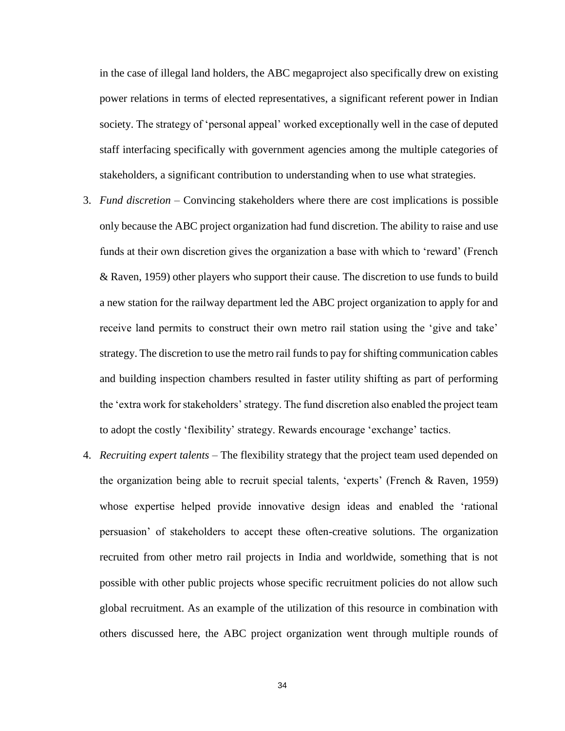in the case of illegal land holders, the ABC megaproject also specifically drew on existing power relations in terms of elected representatives, a significant referent power in Indian society. The strategy of 'personal appeal' worked exceptionally well in the case of deputed staff interfacing specifically with government agencies among the multiple categories of stakeholders, a significant contribution to understanding when to use what strategies.

- 3. *Fund discretion* Convincing stakeholders where there are cost implications is possible only because the ABC project organization had fund discretion. The ability to raise and use funds at their own discretion gives the organization a base with which to 'reward' (French & Raven, 1959) other players who support their cause. The discretion to use funds to build a new station for the railway department led the ABC project organization to apply for and receive land permits to construct their own metro rail station using the 'give and take' strategy. The discretion to use the metro rail funds to pay for shifting communication cables and building inspection chambers resulted in faster utility shifting as part of performing the 'extra work for stakeholders' strategy. The fund discretion also enabled the project team to adopt the costly 'flexibility' strategy. Rewards encourage 'exchange' tactics.
- 4. *Recruiting expert talents* The flexibility strategy that the project team used depended on the organization being able to recruit special talents, 'experts' (French & Raven, 1959) whose expertise helped provide innovative design ideas and enabled the 'rational persuasion' of stakeholders to accept these often-creative solutions. The organization recruited from other metro rail projects in India and worldwide, something that is not possible with other public projects whose specific recruitment policies do not allow such global recruitment. As an example of the utilization of this resource in combination with others discussed here, the ABC project organization went through multiple rounds of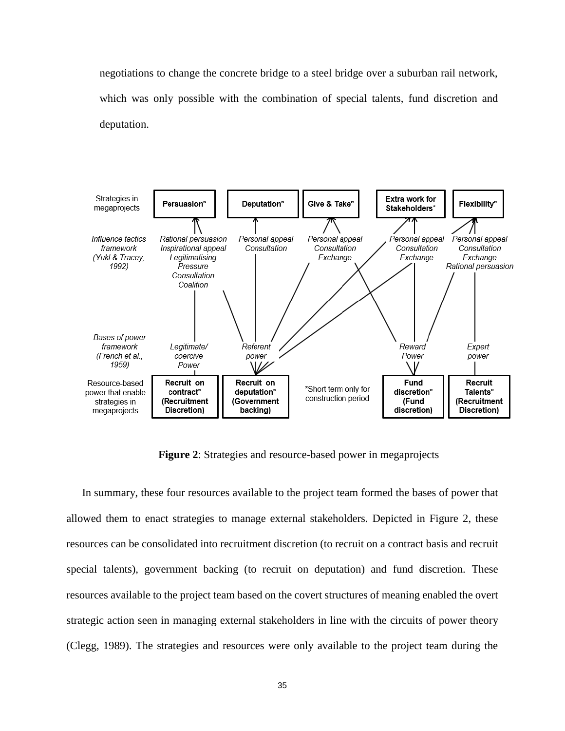negotiations to change the concrete bridge to a steel bridge over a suburban rail network, which was only possible with the combination of special talents, fund discretion and deputation.



**Figure 2**: Strategies and resource-based power in megaprojects

In summary, these four resources available to the project team formed the bases of power that allowed them to enact strategies to manage external stakeholders. Depicted in Figure 2, these resources can be consolidated into recruitment discretion (to recruit on a contract basis and recruit special talents), government backing (to recruit on deputation) and fund discretion. These resources available to the project team based on the covert structures of meaning enabled the overt strategic action seen in managing external stakeholders in line with the circuits of power theory (Clegg, 1989). The strategies and resources were only available to the project team during the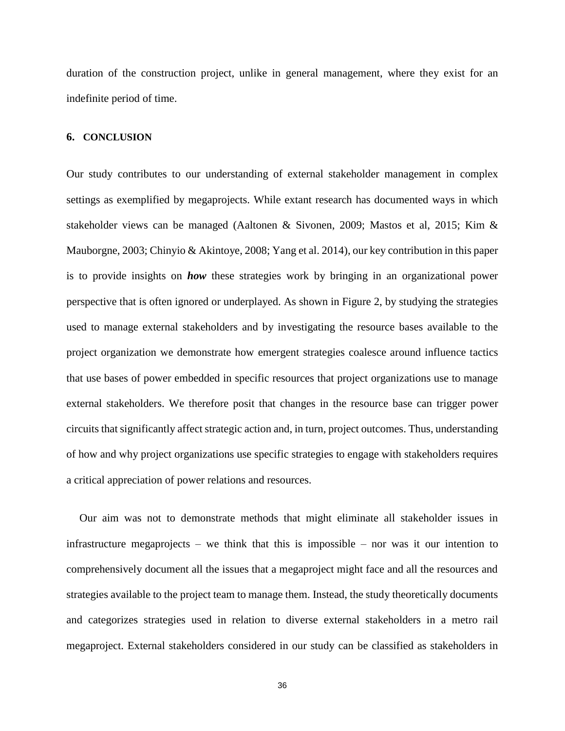duration of the construction project, unlike in general management, where they exist for an indefinite period of time.

## **6. CONCLUSION**

Our study contributes to our understanding of external stakeholder management in complex settings as exemplified by megaprojects. While extant research has documented ways in which stakeholder views can be managed (Aaltonen & Sivonen, 2009; Mastos et al, 2015; Kim & Mauborgne, 2003; Chinyio & Akintoye, 2008; Yang et al. 2014), our key contribution in this paper is to provide insights on *how* these strategies work by bringing in an organizational power perspective that is often ignored or underplayed. As shown in Figure 2, by studying the strategies used to manage external stakeholders and by investigating the resource bases available to the project organization we demonstrate how emergent strategies coalesce around influence tactics that use bases of power embedded in specific resources that project organizations use to manage external stakeholders. We therefore posit that changes in the resource base can trigger power circuits that significantly affect strategic action and, in turn, project outcomes. Thus, understanding of how and why project organizations use specific strategies to engage with stakeholders requires a critical appreciation of power relations and resources.

Our aim was not to demonstrate methods that might eliminate all stakeholder issues in infrastructure megaprojects – we think that this is impossible – nor was it our intention to comprehensively document all the issues that a megaproject might face and all the resources and strategies available to the project team to manage them. Instead, the study theoretically documents and categorizes strategies used in relation to diverse external stakeholders in a metro rail megaproject. External stakeholders considered in our study can be classified as stakeholders in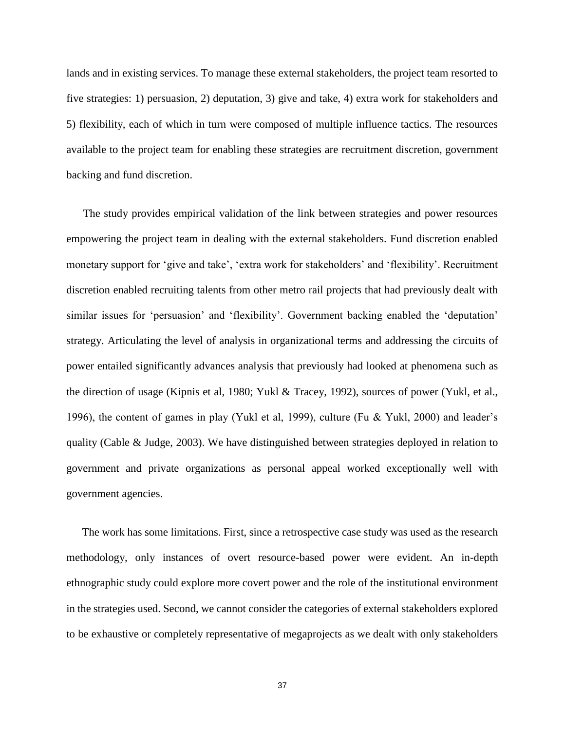lands and in existing services. To manage these external stakeholders, the project team resorted to five strategies: 1) persuasion, 2) deputation, 3) give and take, 4) extra work for stakeholders and 5) flexibility, each of which in turn were composed of multiple influence tactics. The resources available to the project team for enabling these strategies are recruitment discretion, government backing and fund discretion.

The study provides empirical validation of the link between strategies and power resources empowering the project team in dealing with the external stakeholders. Fund discretion enabled monetary support for 'give and take', 'extra work for stakeholders' and 'flexibility'. Recruitment discretion enabled recruiting talents from other metro rail projects that had previously dealt with similar issues for 'persuasion' and 'flexibility'. Government backing enabled the 'deputation' strategy. Articulating the level of analysis in organizational terms and addressing the circuits of power entailed significantly advances analysis that previously had looked at phenomena such as the direction of usage (Kipnis et al, 1980; Yukl & Tracey, 1992), sources of power (Yukl, et al., 1996), the content of games in play (Yukl et al, 1999), culture (Fu & Yukl, 2000) and leader's quality (Cable & Judge, 2003). We have distinguished between strategies deployed in relation to government and private organizations as personal appeal worked exceptionally well with government agencies.

The work has some limitations. First, since a retrospective case study was used as the research methodology, only instances of overt resource-based power were evident. An in-depth ethnographic study could explore more covert power and the role of the institutional environment in the strategies used. Second, we cannot consider the categories of external stakeholders explored to be exhaustive or completely representative of megaprojects as we dealt with only stakeholders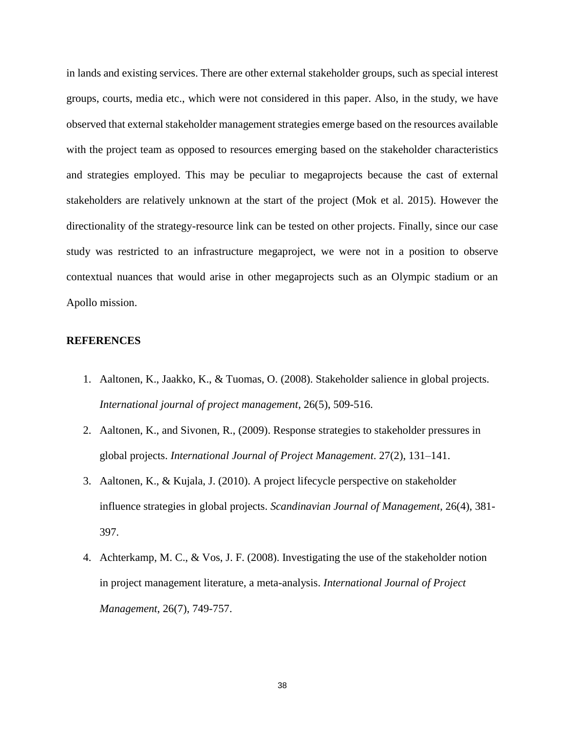in lands and existing services. There are other external stakeholder groups, such as special interest groups, courts, media etc., which were not considered in this paper. Also, in the study, we have observed that external stakeholder management strategies emerge based on the resources available with the project team as opposed to resources emerging based on the stakeholder characteristics and strategies employed. This may be peculiar to megaprojects because the cast of external stakeholders are relatively unknown at the start of the project (Mok et al. 2015). However the directionality of the strategy-resource link can be tested on other projects. Finally, since our case study was restricted to an infrastructure megaproject, we were not in a position to observe contextual nuances that would arise in other megaprojects such as an Olympic stadium or an Apollo mission.

## **REFERENCES**

- 1. Aaltonen, K., Jaakko, K., & Tuomas, O. (2008). Stakeholder salience in global projects. *International journal of project management*, 26(5), 509-516.
- 2. Aaltonen, K., and Sivonen, R., (2009). Response strategies to stakeholder pressures in global projects. *International Journal of Project Management*. 27(2), 131–141.
- 3. Aaltonen, K., & Kujala, J. (2010). A project lifecycle perspective on stakeholder influence strategies in global projects. *Scandinavian Journal of Management*, 26(4), 381- 397.
- 4. Achterkamp, M. C., & Vos, J. F. (2008). Investigating the use of the stakeholder notion in project management literature, a meta-analysis. *International Journal of Project Management*, 26(7), 749-757.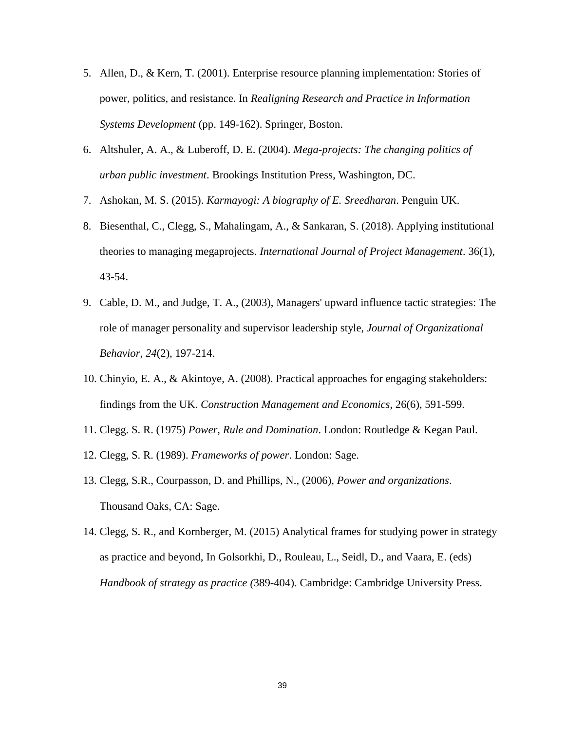- 5. Allen, D., & Kern, T. (2001). Enterprise resource planning implementation: Stories of power, politics, and resistance. In *Realigning Research and Practice in Information Systems Development* (pp. 149-162). Springer, Boston.
- 6. Altshuler, A. A., & Luberoff, D. E. (2004). *Mega-projects: The changing politics of urban public investment*. Brookings Institution Press, Washington, DC.
- 7. Ashokan, M. S. (2015). *Karmayogi: A biography of E. Sreedharan*. Penguin UK.
- 8. Biesenthal, C., Clegg, S., Mahalingam, A., & Sankaran, S. (2018). Applying institutional theories to managing megaprojects. *International Journal of Project Management*. 36(1), 43-54.
- 9. Cable, D. M., and Judge, T. A., (2003), Managers' upward influence tactic strategies: The role of manager personality and supervisor leadership style, *Journal of Organizational Behavior*, *24*(2), 197-214.
- 10. Chinyio, E. A., & Akintoye, A. (2008). Practical approaches for engaging stakeholders: findings from the UK. *Construction Management and Economics*, 26(6), 591-599.
- 11. Clegg. S. R. (1975) *Power, Rule and Domination*. London: Routledge & Kegan Paul.
- 12. Clegg, S. R. (1989). *Frameworks of power*. London: Sage.
- 13. Clegg, S.R., Courpasson, D. and Phillips, N., (2006), *Power and organizations*. Thousand Oaks, CA: Sage.
- 14. Clegg, S. R., and Kornberger, M. (2015) Analytical frames for studying power in strategy as practice and beyond, In Golsorkhi, D., Rouleau, L., Seidl, D., and Vaara, E. (eds) *Handbook of strategy as practice (*389-404)*.* Cambridge: Cambridge University Press.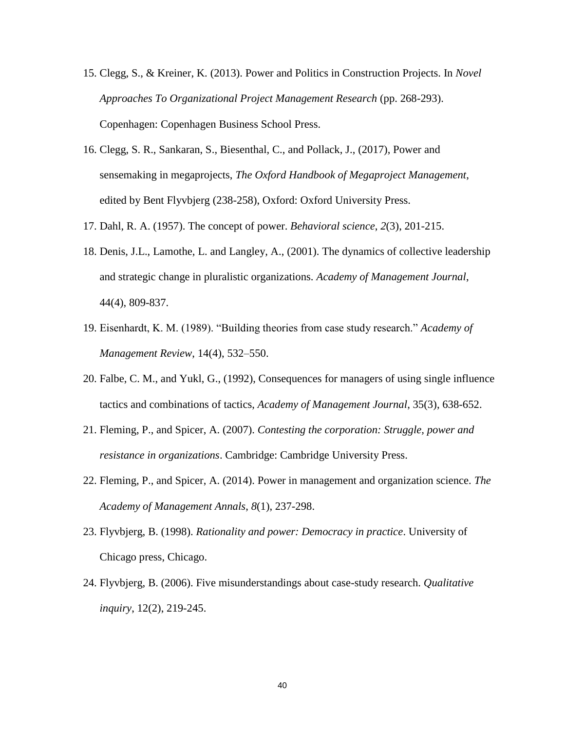- 15. Clegg, S., & Kreiner, K. (2013). Power and Politics in Construction Projects. In *Novel Approaches To Organizational Project Management Research* (pp. 268-293). Copenhagen: Copenhagen Business School Press.
- 16. Clegg, S. R., Sankaran, S., Biesenthal, C., and Pollack, J., (2017), Power and sensemaking in megaprojects, *The Oxford Handbook of Megaproject Management*, edited by Bent Flyvbjerg (238-258), Oxford: Oxford University Press.
- 17. Dahl, R. A. (1957). The concept of power. *Behavioral science*, *2*(3), 201-215.
- 18. Denis, J.L., Lamothe, L. and Langley, A., (2001). The dynamics of collective leadership and strategic change in pluralistic organizations. *Academy of Management Journal*, 44(4), 809-837.
- 19. Eisenhardt, K. M. (1989). "Building theories from case study research." *Academy of Management Review*, 14(4), 532–550.
- 20. Falbe, C. M., and Yukl, G., (1992), Consequences for managers of using single influence tactics and combinations of tactics, *Academy of Management Journal*, 35(3), 638-652.
- 21. Fleming, P., and Spicer, A. (2007). *Contesting the corporation: Struggle, power and resistance in organizations*. Cambridge: Cambridge University Press.
- 22. Fleming, P., and Spicer, A. (2014). Power in management and organization science. *The Academy of Management Annals*, *8*(1), 237-298.
- 23. Flyvbjerg, B. (1998). *Rationality and power: Democracy in practice*. University of Chicago press, Chicago.
- 24. Flyvbjerg, B. (2006). Five misunderstandings about case-study research. *Qualitative inquiry*, 12(2), 219-245.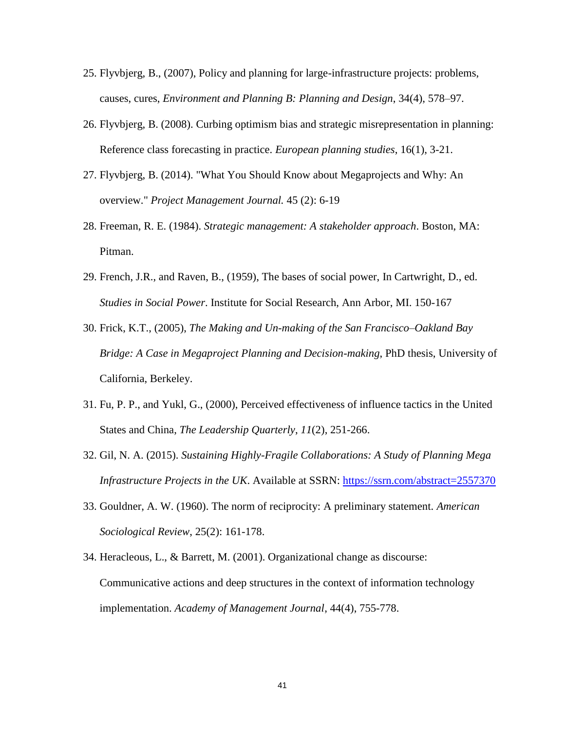- 25. Flyvbjerg, B., (2007), Policy and planning for large-infrastructure projects: problems, causes, cures, *Environment and Planning B: Planning and Design*, 34(4), 578–97.
- 26. Flyvbjerg, B. (2008). Curbing optimism bias and strategic misrepresentation in planning: Reference class forecasting in practice. *European planning studies*, 16(1), 3-21.
- 27. Flyvbjerg, B. (2014). "What You Should Know about Megaprojects and Why: An overview." *Project Management Journal.* 45 (2): 6-19
- 28. Freeman, R. E. (1984). *Strategic management: A stakeholder approach*. Boston, MA: Pitman.
- 29. French, J.R., and Raven, B., (1959), The bases of social power, In Cartwright, D., ed. *Studies in Social Power*. Institute for Social Research, Ann Arbor, MI. 150-167
- 30. Frick, K.T., (2005), *The Making and Un-making of the San Francisco–Oakland Bay Bridge: A Case in Megaproject Planning and Decision-making*, PhD thesis, University of California, Berkeley.
- 31. Fu, P. P., and Yukl, G., (2000), Perceived effectiveness of influence tactics in the United States and China, *The Leadership Quarterly*, *11*(2), 251-266.
- 32. Gil, N. A. (2015). *Sustaining Highly-Fragile Collaborations: A Study of Planning Mega Infrastructure Projects in the UK.* Available at SSRN: <https://ssrn.com/abstract=2557370>
- 33. Gouldner, A. W. (1960). The norm of reciprocity: A preliminary statement. *American Sociological Review*, 25(2): 161-178.
- 34. Heracleous, L., & Barrett, M. (2001). Organizational change as discourse: Communicative actions and deep structures in the context of information technology implementation. *Academy of Management Journal*, 44(4), 755-778.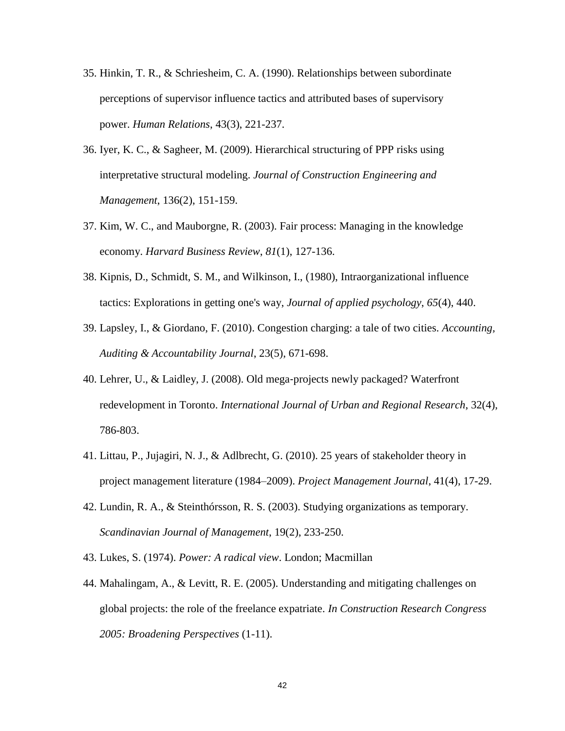- 35. Hinkin, T. R., & Schriesheim, C. A. (1990). Relationships between subordinate perceptions of supervisor influence tactics and attributed bases of supervisory power. *Human Relations*, 43(3), 221-237.
- 36. Iyer, K. C., & Sagheer, M. (2009). Hierarchical structuring of PPP risks using interpretative structural modeling. *Journal of Construction Engineering and Management*, 136(2), 151-159.
- 37. Kim, W. C., and Mauborgne, R. (2003). Fair process: Managing in the knowledge economy. *Harvard Business Review*, *81*(1), 127-136.
- 38. Kipnis, D., Schmidt, S. M., and Wilkinson, I., (1980), Intraorganizational influence tactics: Explorations in getting one's way, *Journal of applied psychology*, *65*(4), 440.
- 39. Lapsley, I., & Giordano, F. (2010). Congestion charging: a tale of two cities. *Accounting, Auditing & Accountability Journal*, 23(5), 671-698.
- 40. Lehrer, U., & Laidley, J. (2008). Old mega‐projects newly packaged? Waterfront redevelopment in Toronto. *International Journal of Urban and Regional Research*, 32(4), 786-803.
- 41. Littau, P., Jujagiri, N. J., & Adlbrecht, G. (2010). 25 years of stakeholder theory in project management literature (1984–2009). *Project Management Journal*, 41(4), 17-29.
- 42. Lundin, R. A., & Steinthórsson, R. S. (2003). Studying organizations as temporary. *Scandinavian Journal of Management*, 19(2), 233-250.
- 43. Lukes, S. (1974). *Power: A radical view*. London; Macmillan
- 44. Mahalingam, A., & Levitt, R. E. (2005). Understanding and mitigating challenges on global projects: the role of the freelance expatriate. *In Construction Research Congress 2005: Broadening Perspectives* (1-11).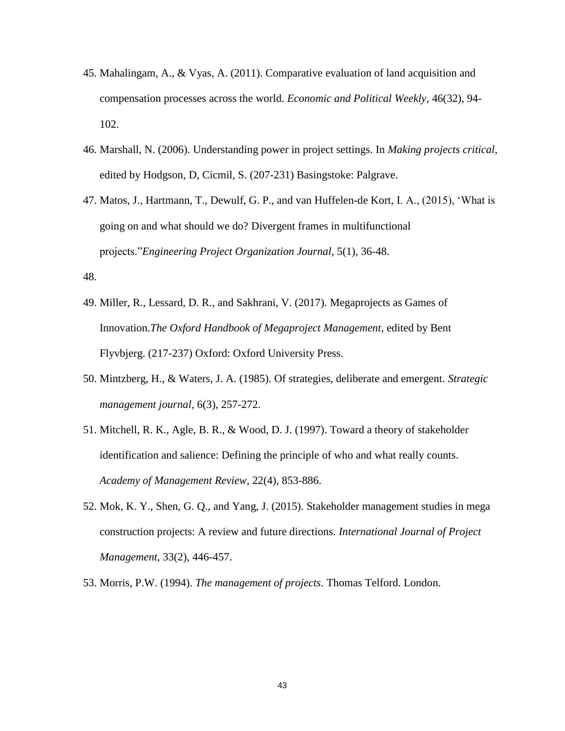- 45. Mahalingam, A., & Vyas, A. (2011). Comparative evaluation of land acquisition and compensation processes across the world. *Economic and Political Weekly*, 46(32), 94- 102.
- 46. Marshall, N. (2006). Understanding power in project settings. In *Making projects critical*, edited by Hodgson, D, Cicmil, S. (207-231) Basingstoke: Palgrave.
- 47. Matos, J., Hartmann, T., Dewulf, G. P., and van Huffelen-de Kort, I. A., (2015), 'What is going on and what should we do? Divergent frames in multifunctional projects."*Engineering Project Organization Journal*, 5(1), 36-48.

48.

- 49. Miller, R., Lessard, D. R., and Sakhrani, V. (2017). Megaprojects as Games of Innovation.*The Oxford Handbook of Megaproject Management*, edited by Bent Flyvbjerg. (217-237) Oxford: Oxford University Press.
- 50. Mintzberg, H., & Waters, J. A. (1985). Of strategies, deliberate and emergent. *Strategic management journal*, 6(3), 257-272.
- 51. Mitchell, R. K., Agle, B. R., & Wood, D. J. (1997). Toward a theory of stakeholder identification and salience: Defining the principle of who and what really counts. *Academy of Management Review*, 22(4), 853-886.
- 52. Mok, K. Y., Shen, G. Q., and Yang, J. (2015). Stakeholder management studies in mega construction projects: A review and future directions. *International Journal of Project Management*, 33(2), 446-457.
- 53. Morris, P.W. (1994). *The management of projects*. Thomas Telford. London.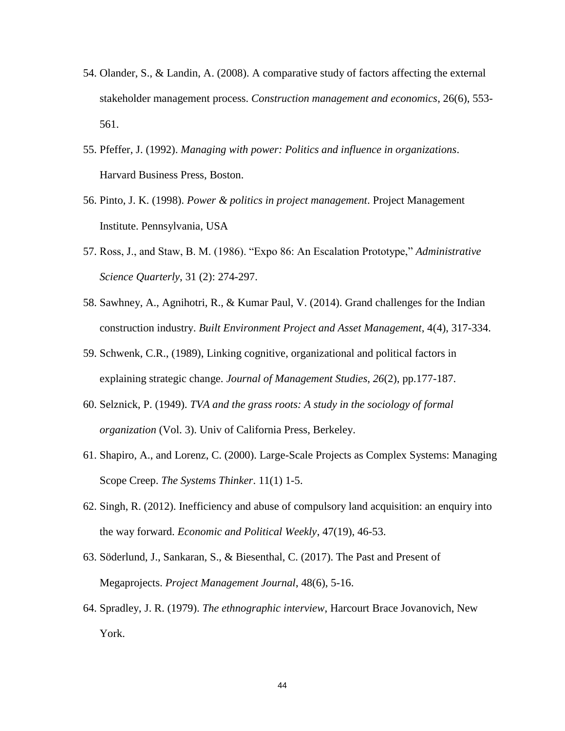- 54. Olander, S., & Landin, A. (2008). A comparative study of factors affecting the external stakeholder management process. *Construction management and economics*, 26(6), 553- 561.
- 55. Pfeffer, J. (1992). *Managing with power: Politics and influence in organizations*. Harvard Business Press, Boston.
- 56. Pinto, J. K. (1998). *Power & politics in project management*. Project Management Institute. Pennsylvania, USA
- 57. Ross, J., and Staw, B. M. (1986). "Expo 86: An Escalation Prototype," *Administrative Science Quarterly*, 31 (2): 274-297.
- 58. Sawhney, A., Agnihotri, R., & Kumar Paul, V. (2014). Grand challenges for the Indian construction industry. *Built Environment Project and Asset Management*, 4(4), 317-334.
- 59. Schwenk, C.R., (1989), Linking cognitive, organizational and political factors in explaining strategic change. *Journal of Management Studies*, *26*(2), pp.177-187.
- 60. Selznick, P. (1949). *TVA and the grass roots: A study in the sociology of formal organization* (Vol. 3). Univ of California Press, Berkeley.
- 61. Shapiro, A., and Lorenz, C. (2000). Large-Scale Projects as Complex Systems: Managing Scope Creep. *The Systems Thinker*. 11(1) 1-5.
- 62. Singh, R. (2012). Inefficiency and abuse of compulsory land acquisition: an enquiry into the way forward. *Economic and Political Weekly*, 47(19), 46-53.
- 63. Söderlund, J., Sankaran, S., & Biesenthal, C. (2017). The Past and Present of Megaprojects. *Project Management Journal*, 48(6), 5-16.
- 64. Spradley, J. R. (1979). *The ethnographic interview*, Harcourt Brace Jovanovich, New York.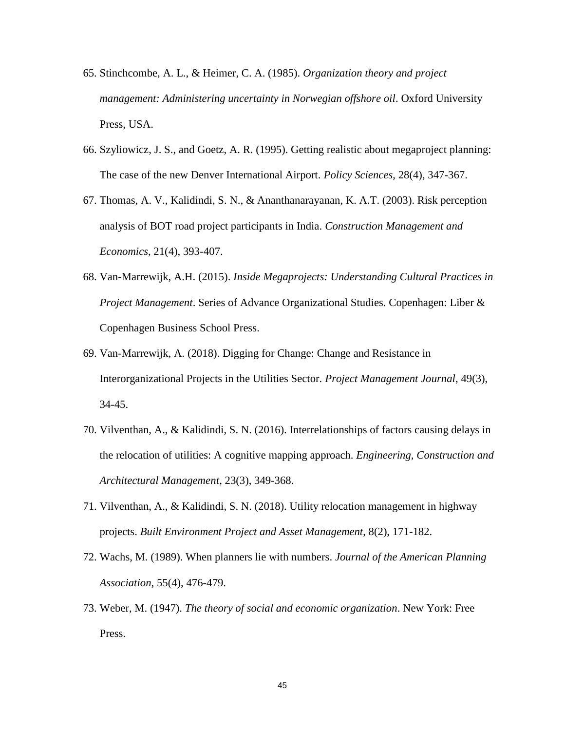- 65. Stinchcombe, A. L., & Heimer, C. A. (1985). *Organization theory and project management: Administering uncertainty in Norwegian offshore oil*. Oxford University Press, USA.
- 66. Szyliowicz, J. S., and Goetz, A. R. (1995). Getting realistic about megaproject planning: The case of the new Denver International Airport. *Policy Sciences*, 28(4), 347-367.
- 67. Thomas, A. V., Kalidindi, S. N., & Ananthanarayanan, K. A.T. (2003). Risk perception analysis of BOT road project participants in India. *Construction Management and Economics*, 21(4), 393-407.
- 68. Van-Marrewijk, A.H. (2015). *Inside Megaprojects: Understanding Cultural Practices in Project Management*. Series of Advance Organizational Studies. Copenhagen: Liber & Copenhagen Business School Press.
- 69. Van-Marrewijk, A. (2018). Digging for Change: Change and Resistance in Interorganizational Projects in the Utilities Sector. *Project Management Journal*, 49(3), 34-45.
- 70. Vilventhan, A., & Kalidindi, S. N. (2016). Interrelationships of factors causing delays in the relocation of utilities: A cognitive mapping approach. *Engineering, Construction and Architectural Management*, 23(3), 349-368.
- 71. Vilventhan, A., & Kalidindi, S. N. (2018). Utility relocation management in highway projects. *Built Environment Project and Asset Management*, 8(2), 171-182.
- 72. Wachs, M. (1989). When planners lie with numbers. *Journal of the American Planning Association*, 55(4), 476-479.
- 73. Weber, M. (1947). *The theory of social and economic organization*. New York: Free Press.